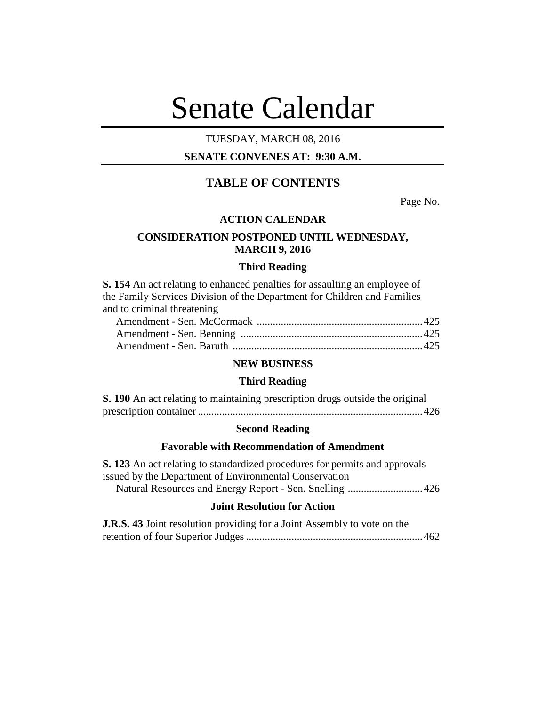# Senate Calendar

## TUESDAY, MARCH 08, 2016

## **SENATE CONVENES AT: 9:30 A.M.**

# **TABLE OF CONTENTS**

Page No.

## **ACTION CALENDAR**

## **CONSIDERATION POSTPONED UNTIL WEDNESDAY, MARCH 9, 2016**

#### **Third Reading**

**S. 154** An act relating to enhanced penalties for assaulting an employee of the Family Services Division of the Department for Children and Families and to criminal threatening

## **NEW BUSINESS**

#### **Third Reading**

| S. 190 An act relating to maintaining prescription drugs outside the original |  |  |  |
|-------------------------------------------------------------------------------|--|--|--|
|                                                                               |  |  |  |

#### **Second Reading**

## **Favorable with Recommendation of Amendment**

**S. 123** An act relating to standardized procedures for permits and approvals issued by the Department of Environmental Conservation Natural Resources and Energy Report - Sen. Snelling ............................426

## **Joint Resolution for Action**

| <b>J.R.S. 43</b> Joint resolution providing for a Joint Assembly to vote on the |  |
|---------------------------------------------------------------------------------|--|
|                                                                                 |  |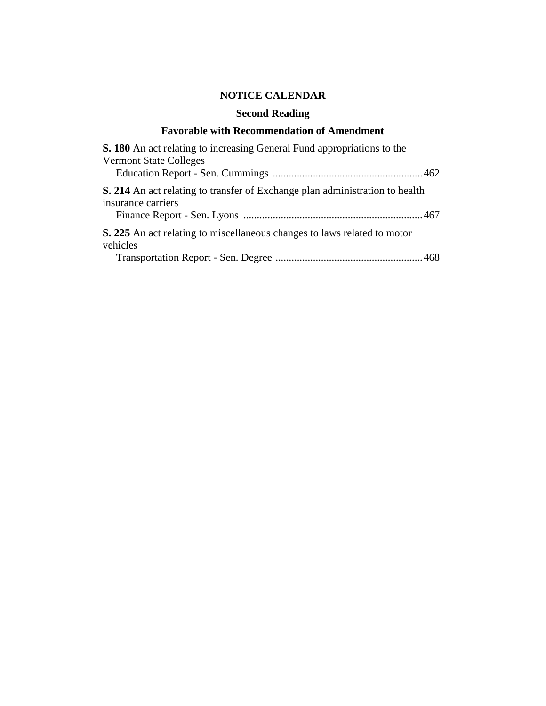# **NOTICE CALENDAR**

# **Second Reading**

## **Favorable with Recommendation of Amendment**

| S. 180 An act relating to increasing General Fund appropriations to the                                   |
|-----------------------------------------------------------------------------------------------------------|
| <b>Vermont State Colleges</b>                                                                             |
| <b>S. 214</b> An act relating to transfer of Exchange plan administration to health<br>insurance carriers |
| <b>S. 225</b> An act relating to miscellaneous changes to laws related to motor<br>vehicles               |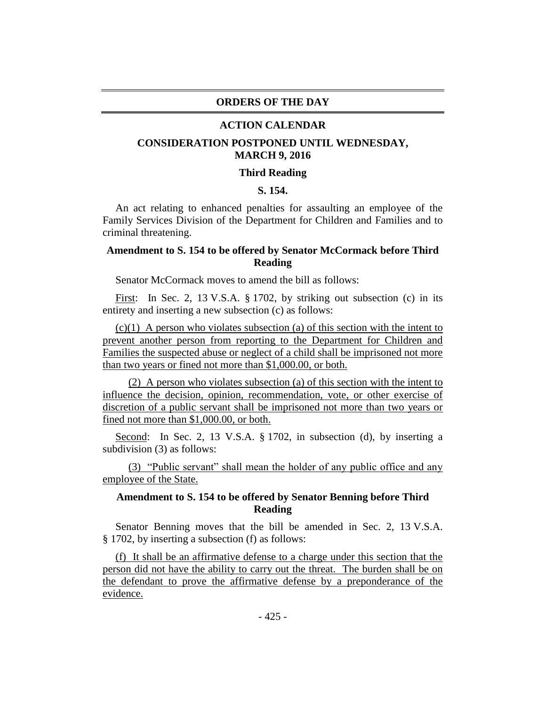#### **ORDERS OF THE DAY**

#### **ACTION CALENDAR**

## **CONSIDERATION POSTPONED UNTIL WEDNESDAY, MARCH 9, 2016**

#### **Third Reading**

## **S. 154.**

An act relating to enhanced penalties for assaulting an employee of the Family Services Division of the Department for Children and Families and to criminal threatening.

## **Amendment to S. 154 to be offered by Senator McCormack before Third Reading**

Senator McCormack moves to amend the bill as follows:

First: In Sec. 2, 13 V.S.A. § 1702, by striking out subsection (c) in its entirety and inserting a new subsection (c) as follows:

 $(c)(1)$  A person who violates subsection (a) of this section with the intent to prevent another person from reporting to the Department for Children and Families the suspected abuse or neglect of a child shall be imprisoned not more than two years or fined not more than \$1,000.00, or both.

(2) A person who violates subsection (a) of this section with the intent to influence the decision, opinion, recommendation, vote, or other exercise of discretion of a public servant shall be imprisoned not more than two years or fined not more than \$1,000.00, or both.

Second: In Sec. 2, 13 V.S.A. § 1702, in subsection (d), by inserting a subdivision (3) as follows:

(3) "Public servant" shall mean the holder of any public office and any employee of the State.

## **Amendment to S. 154 to be offered by Senator Benning before Third Reading**

Senator Benning moves that the bill be amended in Sec. 2, 13 V.S.A. § 1702, by inserting a subsection (f) as follows:

(f) It shall be an affirmative defense to a charge under this section that the person did not have the ability to carry out the threat. The burden shall be on the defendant to prove the affirmative defense by a preponderance of the evidence.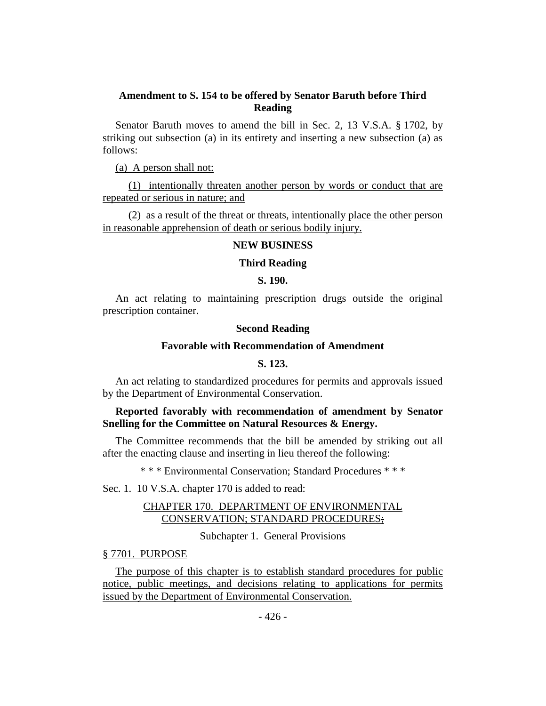## **Amendment to S. 154 to be offered by Senator Baruth before Third Reading**

Senator Baruth moves to amend the bill in Sec. 2, 13 V.S.A. § 1702, by striking out subsection (a) in its entirety and inserting a new subsection (a) as follows:

(a) A person shall not:

(1) intentionally threaten another person by words or conduct that are repeated or serious in nature; and

(2) as a result of the threat or threats, intentionally place the other person in reasonable apprehension of death or serious bodily injury.

#### **NEW BUSINESS**

#### **Third Reading**

#### **S. 190.**

An act relating to maintaining prescription drugs outside the original prescription container.

#### **Second Reading**

#### **Favorable with Recommendation of Amendment**

## **S. 123.**

An act relating to standardized procedures for permits and approvals issued by the Department of Environmental Conservation.

## **Reported favorably with recommendation of amendment by Senator Snelling for the Committee on Natural Resources & Energy.**

The Committee recommends that the bill be amended by striking out all after the enacting clause and inserting in lieu thereof the following:

\* \* \* Environmental Conservation; Standard Procedures \* \* \*

Sec. 1. 10 V.S.A. chapter 170 is added to read:

## CHAPTER 170. DEPARTMENT OF ENVIRONMENTAL CONSERVATION; STANDARD PROCEDURES;

Subchapter 1. General Provisions

## § 7701. PURPOSE

The purpose of this chapter is to establish standard procedures for public notice, public meetings, and decisions relating to applications for permits issued by the Department of Environmental Conservation.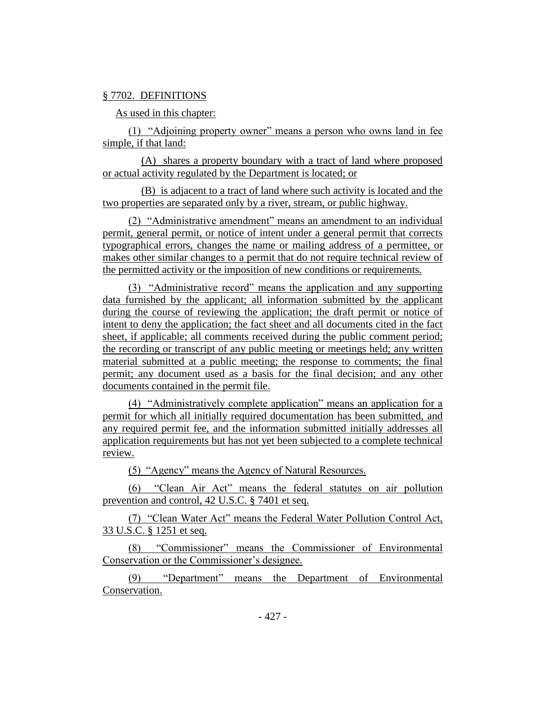## § 7702. DEFINITIONS

As used in this chapter:

(1) "Adjoining property owner" means a person who owns land in fee simple, if that land:

(A) shares a property boundary with a tract of land where proposed or actual activity regulated by the Department is located; or

(B) is adjacent to a tract of land where such activity is located and the two properties are separated only by a river, stream, or public highway.

(2) "Administrative amendment" means an amendment to an individual permit, general permit, or notice of intent under a general permit that corrects typographical errors, changes the name or mailing address of a permittee, or makes other similar changes to a permit that do not require technical review of the permitted activity or the imposition of new conditions or requirements.

(3) "Administrative record" means the application and any supporting data furnished by the applicant; all information submitted by the applicant during the course of reviewing the application; the draft permit or notice of intent to deny the application; the fact sheet and all documents cited in the fact sheet, if applicable; all comments received during the public comment period; the recording or transcript of any public meeting or meetings held; any written material submitted at a public meeting; the response to comments; the final permit; any document used as a basis for the final decision; and any other documents contained in the permit file.

(4) "Administratively complete application" means an application for a permit for which all initially required documentation has been submitted, and any required permit fee, and the information submitted initially addresses all application requirements but has not yet been subjected to a complete technical review.

(5) "Agency" means the Agency of Natural Resources.

(6) "Clean Air Act" means the federal statutes on air pollution prevention and control, 42 U.S.C. § 7401 et seq.

(7) "Clean Water Act" means the Federal Water Pollution Control Act, 33 U.S.C. § 1251 et seq.

(8) "Commissioner" means the Commissioner of Environmental Conservation or the Commissioner's designee.

(9) "Department" means the Department of Environmental Conservation.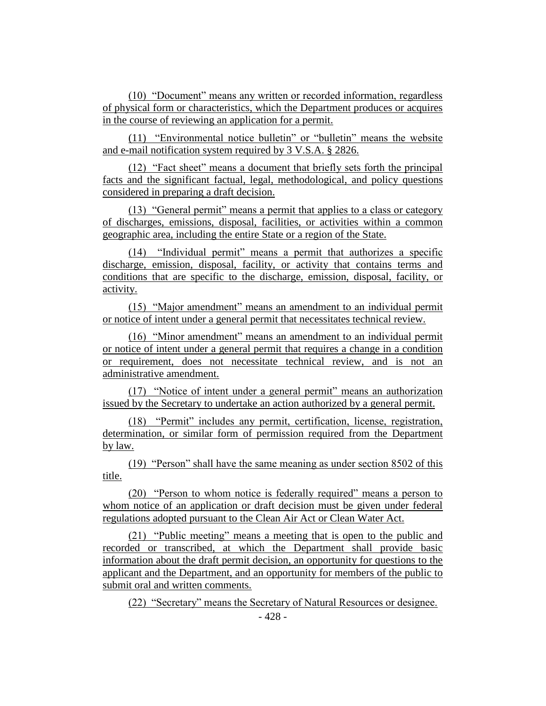(10) "Document" means any written or recorded information, regardless of physical form or characteristics, which the Department produces or acquires in the course of reviewing an application for a permit.

(11) "Environmental notice bulletin" or "bulletin" means the website and e-mail notification system required by 3 V.S.A. § 2826.

(12) "Fact sheet" means a document that briefly sets forth the principal facts and the significant factual, legal, methodological, and policy questions considered in preparing a draft decision.

(13) "General permit" means a permit that applies to a class or category of discharges, emissions, disposal, facilities, or activities within a common geographic area, including the entire State or a region of the State.

(14) "Individual permit" means a permit that authorizes a specific discharge, emission, disposal, facility, or activity that contains terms and conditions that are specific to the discharge, emission, disposal, facility, or activity.

(15) "Major amendment" means an amendment to an individual permit or notice of intent under a general permit that necessitates technical review.

(16) "Minor amendment" means an amendment to an individual permit or notice of intent under a general permit that requires a change in a condition or requirement, does not necessitate technical review, and is not an administrative amendment.

(17) "Notice of intent under a general permit" means an authorization issued by the Secretary to undertake an action authorized by a general permit.

(18) "Permit" includes any permit, certification, license, registration, determination, or similar form of permission required from the Department by law.

(19) "Person" shall have the same meaning as under section 8502 of this title.

(20) "Person to whom notice is federally required" means a person to whom notice of an application or draft decision must be given under federal regulations adopted pursuant to the Clean Air Act or Clean Water Act.

(21) "Public meeting" means a meeting that is open to the public and recorded or transcribed, at which the Department shall provide basic information about the draft permit decision, an opportunity for questions to the applicant and the Department, and an opportunity for members of the public to submit oral and written comments.

(22) "Secretary" means the Secretary of Natural Resources or designee.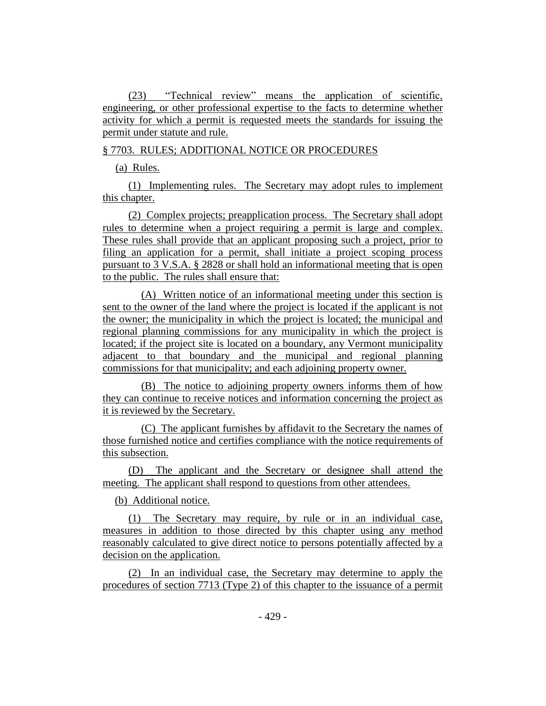(23) "Technical review" means the application of scientific, engineering, or other professional expertise to the facts to determine whether activity for which a permit is requested meets the standards for issuing the permit under statute and rule.

## § 7703. RULES; ADDITIONAL NOTICE OR PROCEDURES

(a) Rules.

(1) Implementing rules. The Secretary may adopt rules to implement this chapter.

(2) Complex projects; preapplication process. The Secretary shall adopt rules to determine when a project requiring a permit is large and complex. These rules shall provide that an applicant proposing such a project, prior to filing an application for a permit, shall initiate a project scoping process pursuant to 3 V.S.A. § 2828 or shall hold an informational meeting that is open to the public. The rules shall ensure that:

(A) Written notice of an informational meeting under this section is sent to the owner of the land where the project is located if the applicant is not the owner; the municipality in which the project is located; the municipal and regional planning commissions for any municipality in which the project is located; if the project site is located on a boundary, any Vermont municipality adjacent to that boundary and the municipal and regional planning commissions for that municipality; and each adjoining property owner.

(B) The notice to adjoining property owners informs them of how they can continue to receive notices and information concerning the project as it is reviewed by the Secretary.

(C) The applicant furnishes by affidavit to the Secretary the names of those furnished notice and certifies compliance with the notice requirements of this subsection.

(D) The applicant and the Secretary or designee shall attend the meeting. The applicant shall respond to questions from other attendees.

(b) Additional notice.

(1) The Secretary may require, by rule or in an individual case, measures in addition to those directed by this chapter using any method reasonably calculated to give direct notice to persons potentially affected by a decision on the application.

(2) In an individual case, the Secretary may determine to apply the procedures of section 7713 (Type 2) of this chapter to the issuance of a permit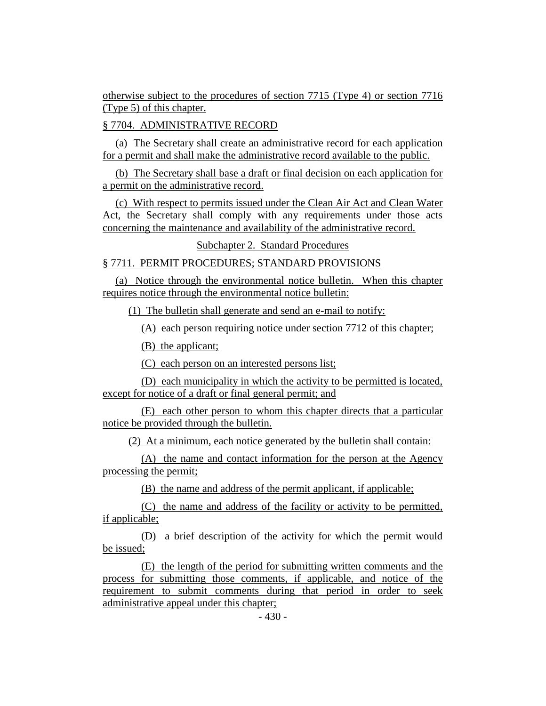otherwise subject to the procedures of section 7715 (Type 4) or section 7716 (Type 5) of this chapter.

## § 7704. ADMINISTRATIVE RECORD

(a) The Secretary shall create an administrative record for each application for a permit and shall make the administrative record available to the public.

(b) The Secretary shall base a draft or final decision on each application for a permit on the administrative record.

(c) With respect to permits issued under the Clean Air Act and Clean Water Act, the Secretary shall comply with any requirements under those acts concerning the maintenance and availability of the administrative record.

## Subchapter 2. Standard Procedures

## § 7711. PERMIT PROCEDURES; STANDARD PROVISIONS

(a) Notice through the environmental notice bulletin. When this chapter requires notice through the environmental notice bulletin:

(1) The bulletin shall generate and send an e-mail to notify:

(A) each person requiring notice under section 7712 of this chapter;

(B) the applicant;

(C) each person on an interested persons list;

(D) each municipality in which the activity to be permitted is located, except for notice of a draft or final general permit; and

(E) each other person to whom this chapter directs that a particular notice be provided through the bulletin.

(2) At a minimum, each notice generated by the bulletin shall contain:

(A) the name and contact information for the person at the Agency processing the permit;

(B) the name and address of the permit applicant, if applicable;

(C) the name and address of the facility or activity to be permitted, if applicable;

(D) a brief description of the activity for which the permit would be issued;

(E) the length of the period for submitting written comments and the process for submitting those comments, if applicable, and notice of the requirement to submit comments during that period in order to seek administrative appeal under this chapter;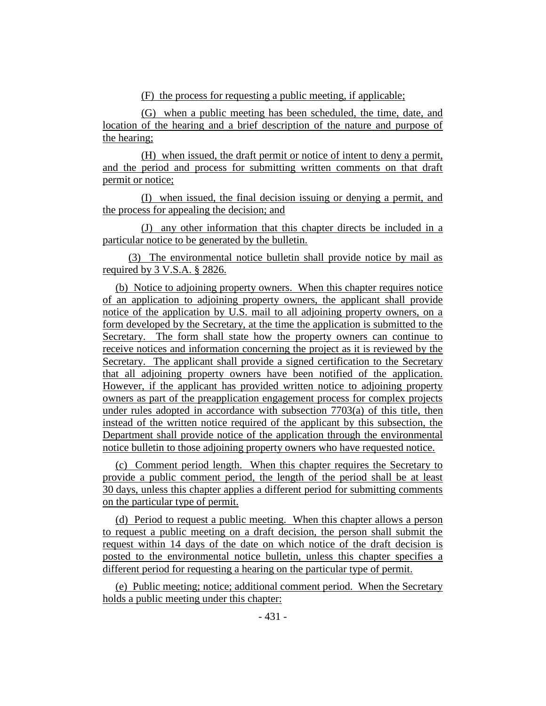(F) the process for requesting a public meeting, if applicable;

(G) when a public meeting has been scheduled, the time, date, and location of the hearing and a brief description of the nature and purpose of the hearing;

(H) when issued, the draft permit or notice of intent to deny a permit, and the period and process for submitting written comments on that draft permit or notice;

(I) when issued, the final decision issuing or denying a permit, and the process for appealing the decision; and

(J) any other information that this chapter directs be included in a particular notice to be generated by the bulletin.

(3) The environmental notice bulletin shall provide notice by mail as required by 3 V.S.A. § 2826.

(b) Notice to adjoining property owners. When this chapter requires notice of an application to adjoining property owners, the applicant shall provide notice of the application by U.S. mail to all adjoining property owners, on a form developed by the Secretary, at the time the application is submitted to the Secretary. The form shall state how the property owners can continue to receive notices and information concerning the project as it is reviewed by the Secretary. The applicant shall provide a signed certification to the Secretary that all adjoining property owners have been notified of the application. However, if the applicant has provided written notice to adjoining property owners as part of the preapplication engagement process for complex projects under rules adopted in accordance with subsection 7703(a) of this title, then instead of the written notice required of the applicant by this subsection, the Department shall provide notice of the application through the environmental notice bulletin to those adjoining property owners who have requested notice.

(c) Comment period length. When this chapter requires the Secretary to provide a public comment period, the length of the period shall be at least 30 days, unless this chapter applies a different period for submitting comments on the particular type of permit.

(d) Period to request a public meeting. When this chapter allows a person to request a public meeting on a draft decision, the person shall submit the request within 14 days of the date on which notice of the draft decision is posted to the environmental notice bulletin, unless this chapter specifies a different period for requesting a hearing on the particular type of permit.

(e) Public meeting; notice; additional comment period. When the Secretary holds a public meeting under this chapter: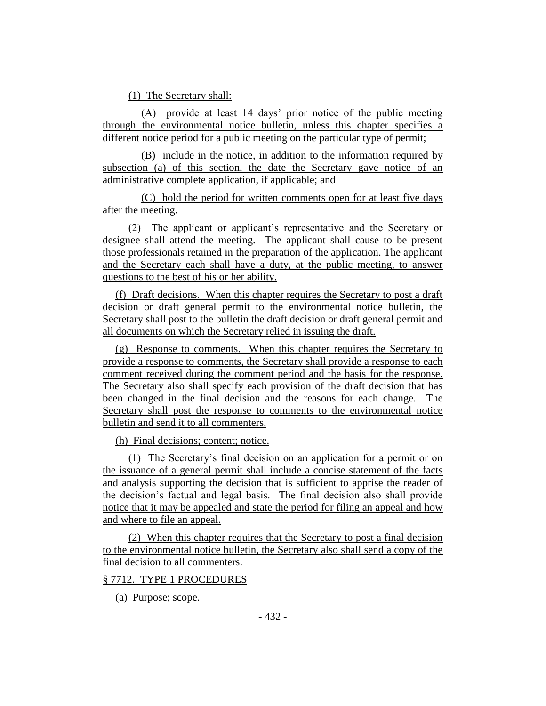(1) The Secretary shall:

(A) provide at least 14 days' prior notice of the public meeting through the environmental notice bulletin, unless this chapter specifies a different notice period for a public meeting on the particular type of permit;

(B) include in the notice, in addition to the information required by subsection (a) of this section, the date the Secretary gave notice of an administrative complete application, if applicable; and

(C) hold the period for written comments open for at least five days after the meeting.

(2) The applicant or applicant's representative and the Secretary or designee shall attend the meeting. The applicant shall cause to be present those professionals retained in the preparation of the application. The applicant and the Secretary each shall have a duty, at the public meeting, to answer questions to the best of his or her ability.

(f) Draft decisions. When this chapter requires the Secretary to post a draft decision or draft general permit to the environmental notice bulletin, the Secretary shall post to the bulletin the draft decision or draft general permit and all documents on which the Secretary relied in issuing the draft.

(g) Response to comments. When this chapter requires the Secretary to provide a response to comments, the Secretary shall provide a response to each comment received during the comment period and the basis for the response. The Secretary also shall specify each provision of the draft decision that has been changed in the final decision and the reasons for each change. The Secretary shall post the response to comments to the environmental notice bulletin and send it to all commenters.

(h) Final decisions; content; notice.

(1) The Secretary's final decision on an application for a permit or on the issuance of a general permit shall include a concise statement of the facts and analysis supporting the decision that is sufficient to apprise the reader of the decision's factual and legal basis. The final decision also shall provide notice that it may be appealed and state the period for filing an appeal and how and where to file an appeal.

(2) When this chapter requires that the Secretary to post a final decision to the environmental notice bulletin, the Secretary also shall send a copy of the final decision to all commenters.

## § 7712. TYPE 1 PROCEDURES

(a) Purpose; scope.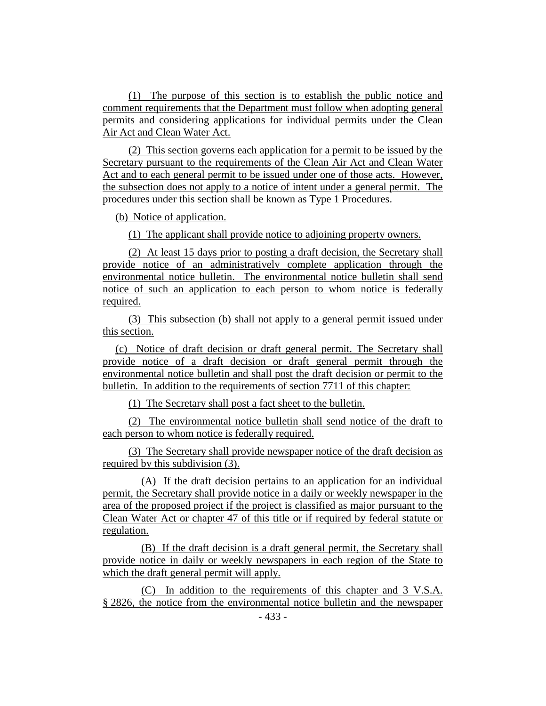(1) The purpose of this section is to establish the public notice and comment requirements that the Department must follow when adopting general permits and considering applications for individual permits under the Clean Air Act and Clean Water Act.

(2) This section governs each application for a permit to be issued by the Secretary pursuant to the requirements of the Clean Air Act and Clean Water Act and to each general permit to be issued under one of those acts. However, the subsection does not apply to a notice of intent under a general permit. The procedures under this section shall be known as Type 1 Procedures.

(b) Notice of application.

(1) The applicant shall provide notice to adjoining property owners.

(2) At least 15 days prior to posting a draft decision, the Secretary shall provide notice of an administratively complete application through the environmental notice bulletin. The environmental notice bulletin shall send notice of such an application to each person to whom notice is federally required.

(3) This subsection (b) shall not apply to a general permit issued under this section.

(c) Notice of draft decision or draft general permit. The Secretary shall provide notice of a draft decision or draft general permit through the environmental notice bulletin and shall post the draft decision or permit to the bulletin. In addition to the requirements of section 7711 of this chapter:

(1) The Secretary shall post a fact sheet to the bulletin.

(2) The environmental notice bulletin shall send notice of the draft to each person to whom notice is federally required.

(3) The Secretary shall provide newspaper notice of the draft decision as required by this subdivision (3).

(A) If the draft decision pertains to an application for an individual permit, the Secretary shall provide notice in a daily or weekly newspaper in the area of the proposed project if the project is classified as major pursuant to the Clean Water Act or chapter 47 of this title or if required by federal statute or regulation.

(B) If the draft decision is a draft general permit, the Secretary shall provide notice in daily or weekly newspapers in each region of the State to which the draft general permit will apply.

(C) In addition to the requirements of this chapter and 3 V.S.A. § 2826, the notice from the environmental notice bulletin and the newspaper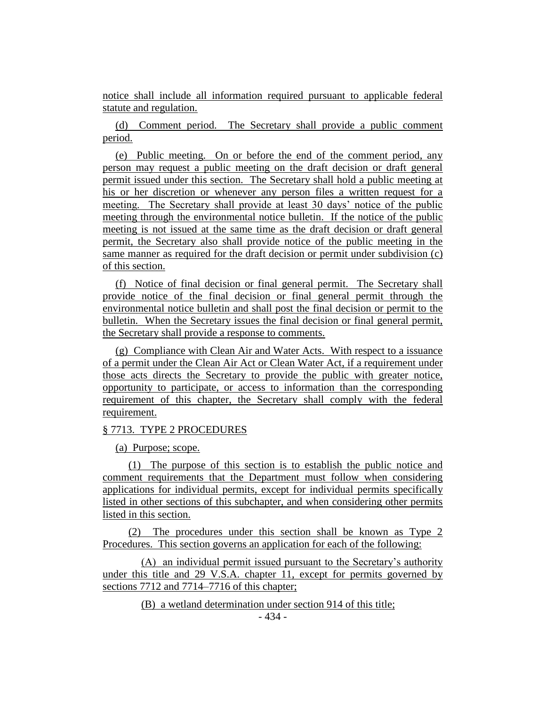notice shall include all information required pursuant to applicable federal statute and regulation.

(d) Comment period. The Secretary shall provide a public comment period.

(e) Public meeting. On or before the end of the comment period, any person may request a public meeting on the draft decision or draft general permit issued under this section. The Secretary shall hold a public meeting at his or her discretion or whenever any person files a written request for a meeting. The Secretary shall provide at least 30 days' notice of the public meeting through the environmental notice bulletin. If the notice of the public meeting is not issued at the same time as the draft decision or draft general permit, the Secretary also shall provide notice of the public meeting in the same manner as required for the draft decision or permit under subdivision (c) of this section.

(f) Notice of final decision or final general permit. The Secretary shall provide notice of the final decision or final general permit through the environmental notice bulletin and shall post the final decision or permit to the bulletin. When the Secretary issues the final decision or final general permit, the Secretary shall provide a response to comments.

(g) Compliance with Clean Air and Water Acts. With respect to a issuance of a permit under the Clean Air Act or Clean Water Act, if a requirement under those acts directs the Secretary to provide the public with greater notice, opportunity to participate, or access to information than the corresponding requirement of this chapter, the Secretary shall comply with the federal requirement.

#### § 7713. TYPE 2 PROCEDURES

(a) Purpose; scope.

(1) The purpose of this section is to establish the public notice and comment requirements that the Department must follow when considering applications for individual permits, except for individual permits specifically listed in other sections of this subchapter, and when considering other permits listed in this section.

(2) The procedures under this section shall be known as Type 2 Procedures. This section governs an application for each of the following:

(A) an individual permit issued pursuant to the Secretary's authority under this title and 29 V.S.A. chapter 11, except for permits governed by sections 7712 and 7714–7716 of this chapter;

(B) a wetland determination under section 914 of this title;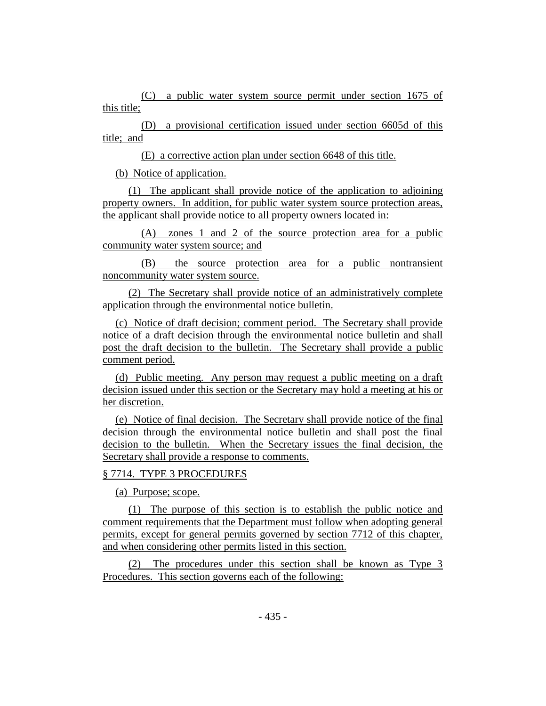(C) a public water system source permit under section 1675 of this title;

(D) a provisional certification issued under section 6605d of this title; and

(E) a corrective action plan under section 6648 of this title.

(b) Notice of application.

(1) The applicant shall provide notice of the application to adjoining property owners. In addition, for public water system source protection areas, the applicant shall provide notice to all property owners located in:

(A) zones 1 and 2 of the source protection area for a public community water system source; and

(B) the source protection area for a public nontransient noncommunity water system source.

(2) The Secretary shall provide notice of an administratively complete application through the environmental notice bulletin.

(c) Notice of draft decision; comment period. The Secretary shall provide notice of a draft decision through the environmental notice bulletin and shall post the draft decision to the bulletin. The Secretary shall provide a public comment period.

(d) Public meeting. Any person may request a public meeting on a draft decision issued under this section or the Secretary may hold a meeting at his or her discretion.

(e) Notice of final decision. The Secretary shall provide notice of the final decision through the environmental notice bulletin and shall post the final decision to the bulletin. When the Secretary issues the final decision, the Secretary shall provide a response to comments.

## § 7714. TYPE 3 PROCEDURES

(a) Purpose; scope.

(1) The purpose of this section is to establish the public notice and comment requirements that the Department must follow when adopting general permits, except for general permits governed by section 7712 of this chapter, and when considering other permits listed in this section.

(2) The procedures under this section shall be known as Type 3 Procedures. This section governs each of the following: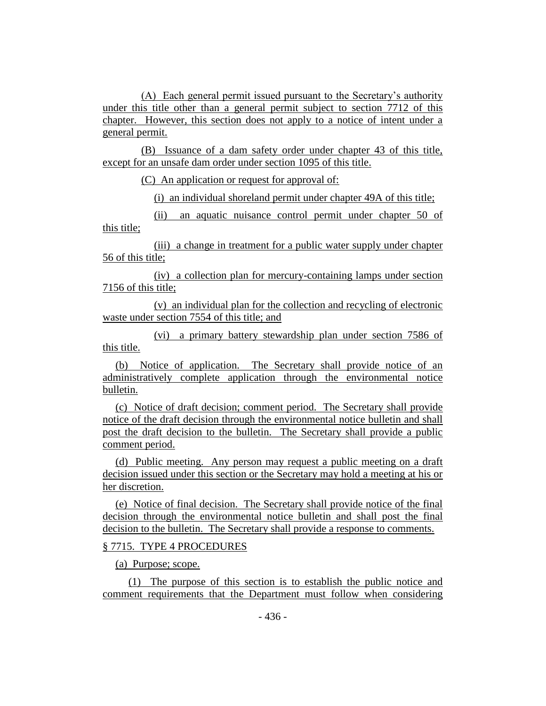(A) Each general permit issued pursuant to the Secretary's authority under this title other than a general permit subject to section 7712 of this chapter. However, this section does not apply to a notice of intent under a general permit.

(B) Issuance of a dam safety order under chapter 43 of this title, except for an unsafe dam order under section 1095 of this title.

(C) An application or request for approval of:

(i) an individual shoreland permit under chapter 49A of this title;

(ii) an aquatic nuisance control permit under chapter 50 of this title;

(iii) a change in treatment for a public water supply under chapter 56 of this title;

(iv) a collection plan for mercury-containing lamps under section 7156 of this title;

(v) an individual plan for the collection and recycling of electronic waste under section 7554 of this title; and

(vi) a primary battery stewardship plan under section 7586 of this title.

(b) Notice of application. The Secretary shall provide notice of an administratively complete application through the environmental notice bulletin.

(c) Notice of draft decision; comment period. The Secretary shall provide notice of the draft decision through the environmental notice bulletin and shall post the draft decision to the bulletin. The Secretary shall provide a public comment period.

(d) Public meeting. Any person may request a public meeting on a draft decision issued under this section or the Secretary may hold a meeting at his or her discretion.

(e) Notice of final decision. The Secretary shall provide notice of the final decision through the environmental notice bulletin and shall post the final decision to the bulletin. The Secretary shall provide a response to comments.

#### § 7715. TYPE 4 PROCEDURES

(a) Purpose; scope.

(1) The purpose of this section is to establish the public notice and comment requirements that the Department must follow when considering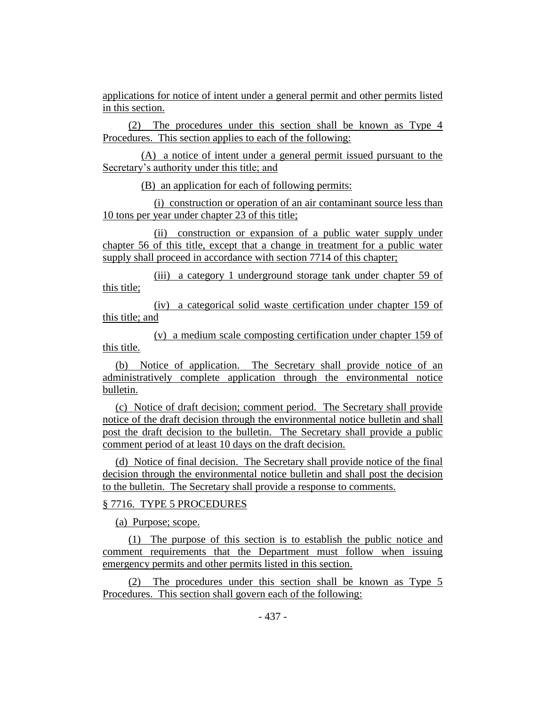applications for notice of intent under a general permit and other permits listed in this section.

(2) The procedures under this section shall be known as Type 4 Procedures. This section applies to each of the following:

(A) a notice of intent under a general permit issued pursuant to the Secretary's authority under this title; and

(B) an application for each of following permits:

(i) construction or operation of an air contaminant source less than 10 tons per year under chapter 23 of this title;

(ii) construction or expansion of a public water supply under chapter 56 of this title, except that a change in treatment for a public water supply shall proceed in accordance with section 7714 of this chapter;

(iii) a category 1 underground storage tank under chapter 59 of this title;

(iv) a categorical solid waste certification under chapter 159 of this title; and

(v) a medium scale composting certification under chapter 159 of this title.

(b) Notice of application. The Secretary shall provide notice of an administratively complete application through the environmental notice bulletin.

(c) Notice of draft decision; comment period. The Secretary shall provide notice of the draft decision through the environmental notice bulletin and shall post the draft decision to the bulletin. The Secretary shall provide a public comment period of at least 10 days on the draft decision.

(d) Notice of final decision. The Secretary shall provide notice of the final decision through the environmental notice bulletin and shall post the decision to the bulletin. The Secretary shall provide a response to comments.

#### § 7716. TYPE 5 PROCEDURES

(a) Purpose; scope.

(1) The purpose of this section is to establish the public notice and comment requirements that the Department must follow when issuing emergency permits and other permits listed in this section.

(2) The procedures under this section shall be known as Type 5 Procedures. This section shall govern each of the following: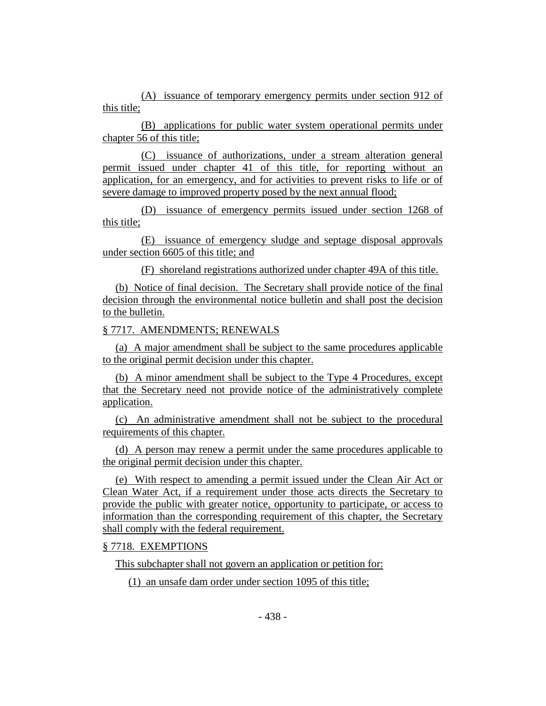(A) issuance of temporary emergency permits under section 912 of this title;

(B) applications for public water system operational permits under chapter 56 of this title;

(C) issuance of authorizations, under a stream alteration general permit issued under chapter 41 of this title, for reporting without an application, for an emergency, and for activities to prevent risks to life or of severe damage to improved property posed by the next annual flood;

(D) issuance of emergency permits issued under section 1268 of this title;

(E) issuance of emergency sludge and septage disposal approvals under section 6605 of this title; and

(F) shoreland registrations authorized under chapter 49A of this title.

(b) Notice of final decision. The Secretary shall provide notice of the final decision through the environmental notice bulletin and shall post the decision to the bulletin.

## § 7717. AMENDMENTS; RENEWALS

(a) A major amendment shall be subject to the same procedures applicable to the original permit decision under this chapter.

(b) A minor amendment shall be subject to the Type 4 Procedures, except that the Secretary need not provide notice of the administratively complete application.

(c) An administrative amendment shall not be subject to the procedural requirements of this chapter.

(d) A person may renew a permit under the same procedures applicable to the original permit decision under this chapter.

(e) With respect to amending a permit issued under the Clean Air Act or Clean Water Act, if a requirement under those acts directs the Secretary to provide the public with greater notice, opportunity to participate, or access to information than the corresponding requirement of this chapter, the Secretary shall comply with the federal requirement.

## § 7718. EXEMPTIONS

This subchapter shall not govern an application or petition for:

(1) an unsafe dam order under section 1095 of this title;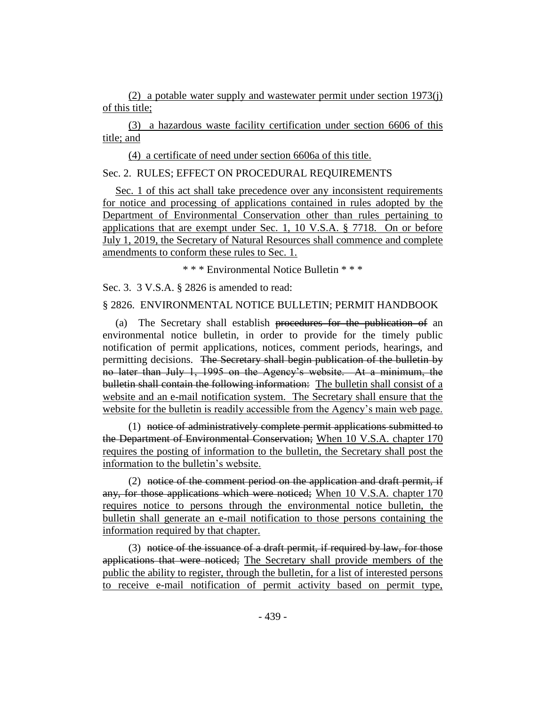(2) a potable water supply and wastewater permit under section 1973(j) of this title;

(3) a hazardous waste facility certification under section 6606 of this title; and

(4) a certificate of need under section 6606a of this title.

## Sec. 2. RULES; EFFECT ON PROCEDURAL REQUIREMENTS

Sec. 1 of this act shall take precedence over any inconsistent requirements for notice and processing of applications contained in rules adopted by the Department of Environmental Conservation other than rules pertaining to applications that are exempt under Sec. 1, 10 V.S.A. § 7718. On or before July 1, 2019, the Secretary of Natural Resources shall commence and complete amendments to conform these rules to Sec. 1.

\* \* \* Environmental Notice Bulletin \* \* \*

Sec. 3. 3 V.S.A. § 2826 is amended to read:

## § 2826. ENVIRONMENTAL NOTICE BULLETIN; PERMIT HANDBOOK

(a) The Secretary shall establish procedures for the publication of an environmental notice bulletin, in order to provide for the timely public notification of permit applications, notices, comment periods, hearings, and permitting decisions. The Secretary shall begin publication of the bulletin by no later than July 1, 1995 on the Agency's website. At a minimum, the bulletin shall contain the following information: The bulletin shall consist of a website and an e-mail notification system. The Secretary shall ensure that the website for the bulletin is readily accessible from the Agency's main web page.

(1) notice of administratively complete permit applications submitted to the Department of Environmental Conservation; When 10 V.S.A. chapter 170 requires the posting of information to the bulletin, the Secretary shall post the information to the bulletin's website.

(2) notice of the comment period on the application and draft permit, if any, for those applications which were noticed; When 10 V.S.A. chapter 170 requires notice to persons through the environmental notice bulletin, the bulletin shall generate an e-mail notification to those persons containing the information required by that chapter.

(3) notice of the issuance of a draft permit, if required by law, for those applications that were noticed; The Secretary shall provide members of the public the ability to register, through the bulletin, for a list of interested persons to receive e-mail notification of permit activity based on permit type,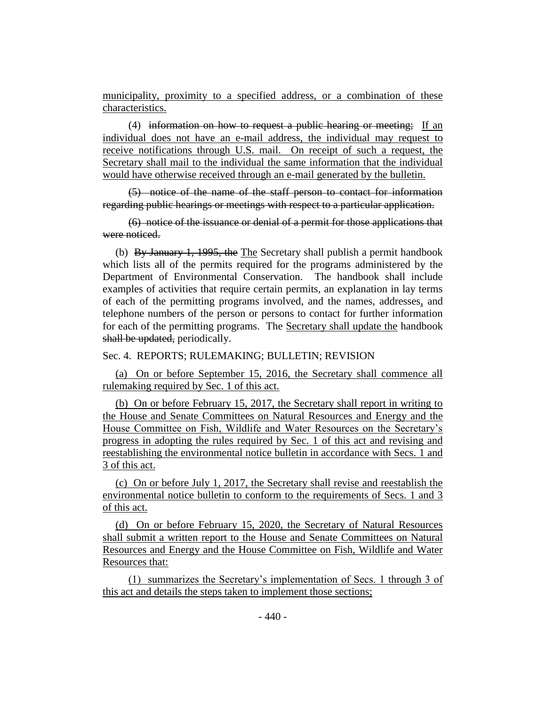municipality, proximity to a specified address, or a combination of these characteristics.

(4) information on how to request a public hearing or meeting; If an individual does not have an e-mail address, the individual may request to receive notifications through U.S. mail. On receipt of such a request, the Secretary shall mail to the individual the same information that the individual would have otherwise received through an e-mail generated by the bulletin.

(5) notice of the name of the staff person to contact for information regarding public hearings or meetings with respect to a particular application.

(6) notice of the issuance or denial of a permit for those applications that were noticed.

(b) By January 1, 1995, the The Secretary shall publish a permit handbook which lists all of the permits required for the programs administered by the Department of Environmental Conservation. The handbook shall include examples of activities that require certain permits, an explanation in lay terms of each of the permitting programs involved, and the names, addresses, and telephone numbers of the person or persons to contact for further information for each of the permitting programs. The Secretary shall update the handbook shall be updated, periodically.

Sec. 4. REPORTS; RULEMAKING; BULLETIN; REVISION

(a) On or before September 15, 2016, the Secretary shall commence all rulemaking required by Sec. 1 of this act.

(b) On or before February 15, 2017, the Secretary shall report in writing to the House and Senate Committees on Natural Resources and Energy and the House Committee on Fish, Wildlife and Water Resources on the Secretary's progress in adopting the rules required by Sec. 1 of this act and revising and reestablishing the environmental notice bulletin in accordance with Secs. 1 and 3 of this act.

(c) On or before July 1, 2017, the Secretary shall revise and reestablish the environmental notice bulletin to conform to the requirements of Secs. 1 and 3 of this act.

(d) On or before February 15, 2020, the Secretary of Natural Resources shall submit a written report to the House and Senate Committees on Natural Resources and Energy and the House Committee on Fish, Wildlife and Water Resources that:

(1) summarizes the Secretary's implementation of Secs. 1 through 3 of this act and details the steps taken to implement those sections;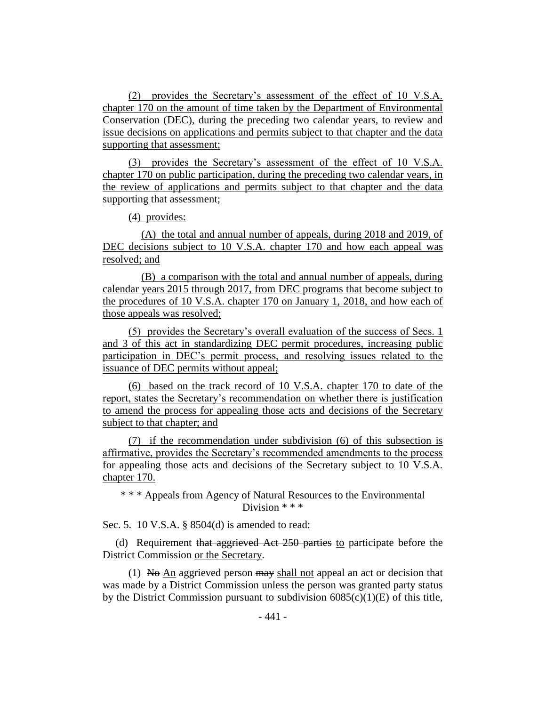(2) provides the Secretary's assessment of the effect of 10 V.S.A. chapter 170 on the amount of time taken by the Department of Environmental Conservation (DEC), during the preceding two calendar years, to review and issue decisions on applications and permits subject to that chapter and the data supporting that assessment;

(3) provides the Secretary's assessment of the effect of 10 V.S.A. chapter 170 on public participation, during the preceding two calendar years, in the review of applications and permits subject to that chapter and the data supporting that assessment;

(4) provides:

(A) the total and annual number of appeals, during 2018 and 2019, of DEC decisions subject to 10 V.S.A. chapter 170 and how each appeal was resolved; and

(B) a comparison with the total and annual number of appeals, during calendar years 2015 through 2017, from DEC programs that become subject to the procedures of 10 V.S.A. chapter 170 on January 1, 2018, and how each of those appeals was resolved;

(5) provides the Secretary's overall evaluation of the success of Secs. 1 and 3 of this act in standardizing DEC permit procedures, increasing public participation in DEC's permit process, and resolving issues related to the issuance of DEC permits without appeal;

(6) based on the track record of 10 V.S.A. chapter 170 to date of the report, states the Secretary's recommendation on whether there is justification to amend the process for appealing those acts and decisions of the Secretary subject to that chapter; and

(7) if the recommendation under subdivision (6) of this subsection is affirmative, provides the Secretary's recommended amendments to the process for appealing those acts and decisions of the Secretary subject to 10 V.S.A. chapter 170.

\* \* \* Appeals from Agency of Natural Resources to the Environmental Division \* \* \*

Sec. 5. 10 V.S.A. § 8504(d) is amended to read:

(d) Requirement that aggrieved Act 250 parties to participate before the District Commission or the Secretary.

(1) No  $\overline{An}$  aggrieved person  $\overline{may}$  shall not appeal an act or decision that was made by a District Commission unless the person was granted party status by the District Commission pursuant to subdivision  $6085(c)(1)(E)$  of this title,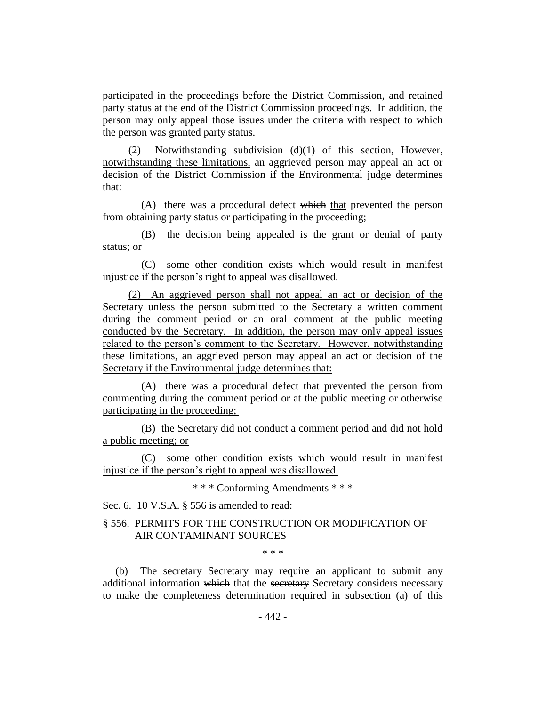participated in the proceedings before the District Commission, and retained party status at the end of the District Commission proceedings. In addition, the person may only appeal those issues under the criteria with respect to which the person was granted party status.

(2) Notwithstanding subdivision (d)(1) of this section, However, notwithstanding these limitations, an aggrieved person may appeal an act or decision of the District Commission if the Environmental judge determines that:

(A) there was a procedural defect which that prevented the person from obtaining party status or participating in the proceeding;

(B) the decision being appealed is the grant or denial of party status; or

(C) some other condition exists which would result in manifest injustice if the person's right to appeal was disallowed.

(2) An aggrieved person shall not appeal an act or decision of the Secretary unless the person submitted to the Secretary a written comment during the comment period or an oral comment at the public meeting conducted by the Secretary. In addition, the person may only appeal issues related to the person's comment to the Secretary. However, notwithstanding these limitations, an aggrieved person may appeal an act or decision of the Secretary if the Environmental judge determines that:

(A) there was a procedural defect that prevented the person from commenting during the comment period or at the public meeting or otherwise participating in the proceeding;

(B) the Secretary did not conduct a comment period and did not hold a public meeting; or

(C) some other condition exists which would result in manifest injustice if the person's right to appeal was disallowed.

\* \* \* Conforming Amendments \* \* \*

Sec. 6. 10 V.S.A. § 556 is amended to read:

## § 556. PERMITS FOR THE CONSTRUCTION OR MODIFICATION OF AIR CONTAMINANT SOURCES

\* \* \*

(b) The secretary Secretary may require an applicant to submit any additional information which that the secretary Secretary considers necessary to make the completeness determination required in subsection (a) of this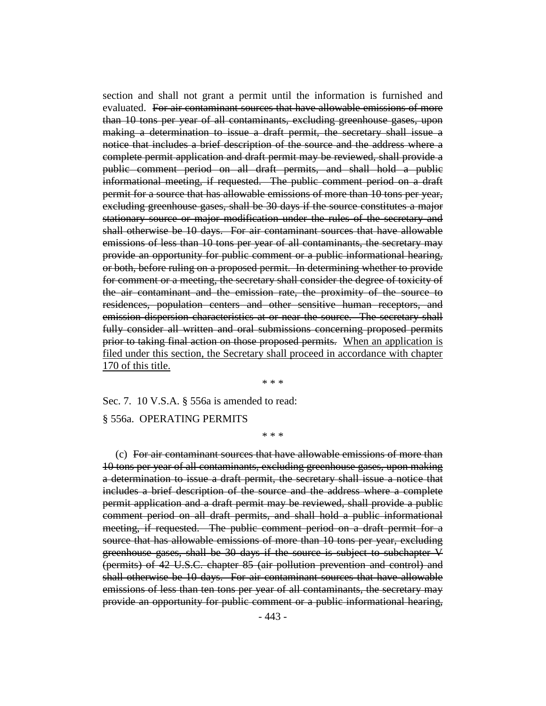section and shall not grant a permit until the information is furnished and evaluated. For air contaminant sources that have allowable emissions of more than 10 tons per year of all contaminants, excluding greenhouse gases, upon making a determination to issue a draft permit, the secretary shall issue a notice that includes a brief description of the source and the address where a complete permit application and draft permit may be reviewed, shall provide a public comment period on all draft permits, and shall hold a public informational meeting, if requested. The public comment period on a draft permit for a source that has allowable emissions of more than 10 tons per year, excluding greenhouse gases, shall be 30 days if the source constitutes a major stationary source or major modification under the rules of the secretary and shall otherwise be 10 days. For air contaminant sources that have allowable emissions of less than 10 tons per year of all contaminants, the secretary may provide an opportunity for public comment or a public informational hearing, or both, before ruling on a proposed permit. In determining whether to provide for comment or a meeting, the secretary shall consider the degree of toxicity of the air contaminant and the emission rate, the proximity of the source to residences, population centers and other sensitive human receptors, and emission dispersion characteristics at or near the source. The secretary shall fully consider all written and oral submissions concerning proposed permits prior to taking final action on those proposed permits. When an application is filed under this section, the Secretary shall proceed in accordance with chapter 170 of this title.

\* \* \*

Sec. 7. 10 V.S.A. § 556a is amended to read:

§ 556a. OPERATING PERMITS

\* \* \*

(c) For air contaminant sources that have allowable emissions of more than 10 tons per year of all contaminants, excluding greenhouse gases, upon making a determination to issue a draft permit, the secretary shall issue a notice that includes a brief description of the source and the address where a complete permit application and a draft permit may be reviewed, shall provide a public comment period on all draft permits, and shall hold a public informational meeting, if requested. The public comment period on a draft permit for a source that has allowable emissions of more than 10 tons per year, excluding greenhouse gases, shall be 30 days if the source is subject to subchapter V (permits) of 42 U.S.C. chapter 85 (air pollution prevention and control) and shall otherwise be 10 days. For air contaminant sources that have allowable emissions of less than ten tons per year of all contaminants, the secretary may provide an opportunity for public comment or a public informational hearing,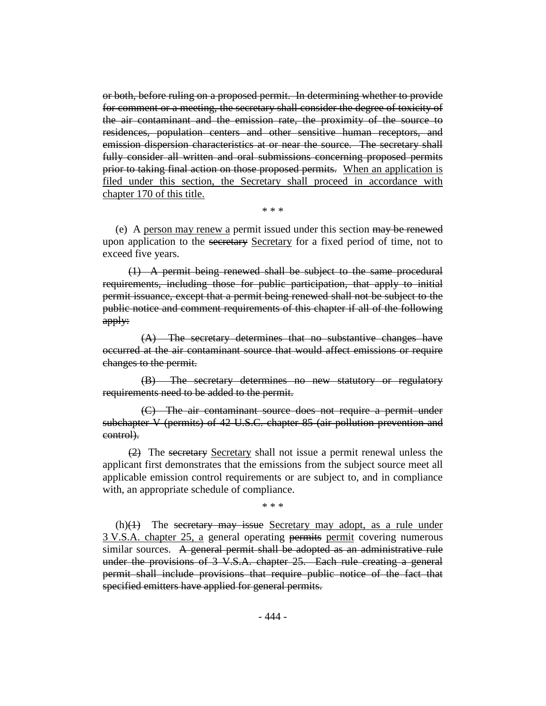or both, before ruling on a proposed permit. In determining whether to provide for comment or a meeting, the secretary shall consider the degree of toxicity of the air contaminant and the emission rate, the proximity of the source to residences, population centers and other sensitive human receptors, and emission dispersion characteristics at or near the source. The secretary shall fully consider all written and oral submissions concerning proposed permits prior to taking final action on those proposed permits. When an application is filed under this section, the Secretary shall proceed in accordance with chapter 170 of this title.

\* \* \*

(e) A person may renew a permit issued under this section may be renewed upon application to the secretary Secretary for a fixed period of time, not to exceed five years.

(1) A permit being renewed shall be subject to the same procedural requirements, including those for public participation, that apply to initial permit issuance, except that a permit being renewed shall not be subject to the public notice and comment requirements of this chapter if all of the following apply:

(A) The secretary determines that no substantive changes have occurred at the air contaminant source that would affect emissions or require changes to the permit.

(B) The secretary determines no new statutory or regulatory requirements need to be added to the permit.

(C) The air contaminant source does not require a permit under subchapter V (permits) of 42 U.S.C. chapter 85 (air pollution prevention and control).

(2) The secretary Secretary shall not issue a permit renewal unless the applicant first demonstrates that the emissions from the subject source meet all applicable emission control requirements or are subject to, and in compliance with, an appropriate schedule of compliance.

\* \* \*

 $(h)(1)$  The secretary may issue Secretary may adopt, as a rule under 3 V.S.A. chapter 25, a general operating permits permit covering numerous similar sources. A general permit shall be adopted as an administrative rule under the provisions of 3 V.S.A. chapter 25. Each rule creating a general permit shall include provisions that require public notice of the fact that specified emitters have applied for general permits.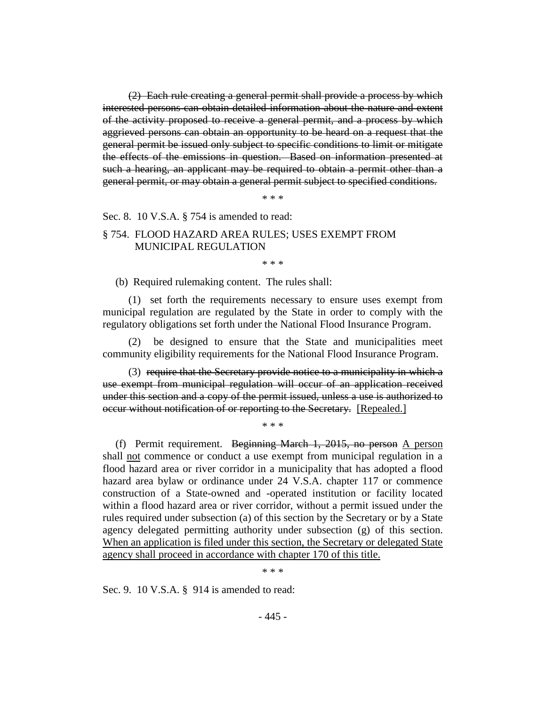(2) Each rule creating a general permit shall provide a process by which interested persons can obtain detailed information about the nature and extent of the activity proposed to receive a general permit, and a process by which aggrieved persons can obtain an opportunity to be heard on a request that the general permit be issued only subject to specific conditions to limit or mitigate the effects of the emissions in question. Based on information presented at such a hearing, an applicant may be required to obtain a permit other than a general permit, or may obtain a general permit subject to specified conditions.

\* \* \*

Sec. 8. 10 V.S.A. § 754 is amended to read:

## § 754. FLOOD HAZARD AREA RULES; USES EXEMPT FROM MUNICIPAL REGULATION

\* \* \*

(b) Required rulemaking content. The rules shall:

(1) set forth the requirements necessary to ensure uses exempt from municipal regulation are regulated by the State in order to comply with the regulatory obligations set forth under the National Flood Insurance Program.

(2) be designed to ensure that the State and municipalities meet community eligibility requirements for the National Flood Insurance Program.

(3) require that the Secretary provide notice to a municipality in which a use exempt from municipal regulation will occur of an application received under this section and a copy of the permit issued, unless a use is authorized to occur without notification of or reporting to the Secretary. [Repealed.]

\* \* \*

(f) Permit requirement. Beginning March 1, 2015, no person A person shall not commence or conduct a use exempt from municipal regulation in a flood hazard area or river corridor in a municipality that has adopted a flood hazard area bylaw or ordinance under 24 V.S.A. chapter 117 or commence construction of a State-owned and -operated institution or facility located within a flood hazard area or river corridor, without a permit issued under the rules required under subsection (a) of this section by the Secretary or by a State agency delegated permitting authority under subsection (g) of this section. When an application is filed under this section, the Secretary or delegated State agency shall proceed in accordance with chapter 170 of this title.

\* \* \*

Sec. 9. 10 V.S.A. § 914 is amended to read: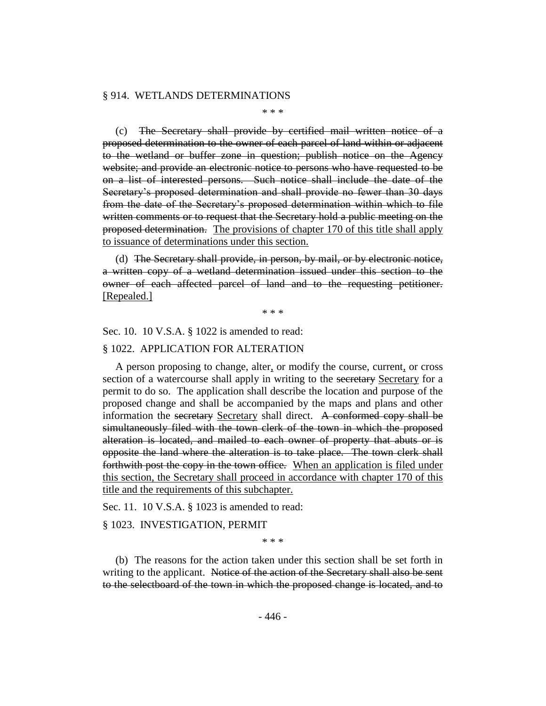#### § 914. WETLANDS DETERMINATIONS

\* \* \*

(c) The Secretary shall provide by certified mail written notice of a proposed determination to the owner of each parcel of land within or adjacent to the wetland or buffer zone in question; publish notice on the Agency website; and provide an electronic notice to persons who have requested to be on a list of interested persons. Such notice shall include the date of the Secretary's proposed determination and shall provide no fewer than 30 days from the date of the Secretary's proposed determination within which to file written comments or to request that the Secretary hold a public meeting on the proposed determination. The provisions of chapter 170 of this title shall apply to issuance of determinations under this section.

(d) The Secretary shall provide, in person, by mail, or by electronic notice, a written copy of a wetland determination issued under this section to the owner of each affected parcel of land and to the requesting petitioner. [Repealed.]

\* \* \*

Sec. 10. 10 V.S.A. § 1022 is amended to read:

#### § 1022. APPLICATION FOR ALTERATION

A person proposing to change, alter, or modify the course, current, or cross section of a watercourse shall apply in writing to the secretary Secretary for a permit to do so. The application shall describe the location and purpose of the proposed change and shall be accompanied by the maps and plans and other information the secretary Secretary shall direct. A conformed copy shall be simultaneously filed with the town clerk of the town in which the proposed alteration is located, and mailed to each owner of property that abuts or is opposite the land where the alteration is to take place. The town clerk shall forthwith post the copy in the town office. When an application is filed under this section, the Secretary shall proceed in accordance with chapter 170 of this title and the requirements of this subchapter.

Sec. 11. 10 V.S.A. § 1023 is amended to read:

#### § 1023. INVESTIGATION, PERMIT

\* \* \*

(b) The reasons for the action taken under this section shall be set forth in writing to the applicant. Notice of the action of the Secretary shall also be sent to the selectboard of the town in which the proposed change is located, and to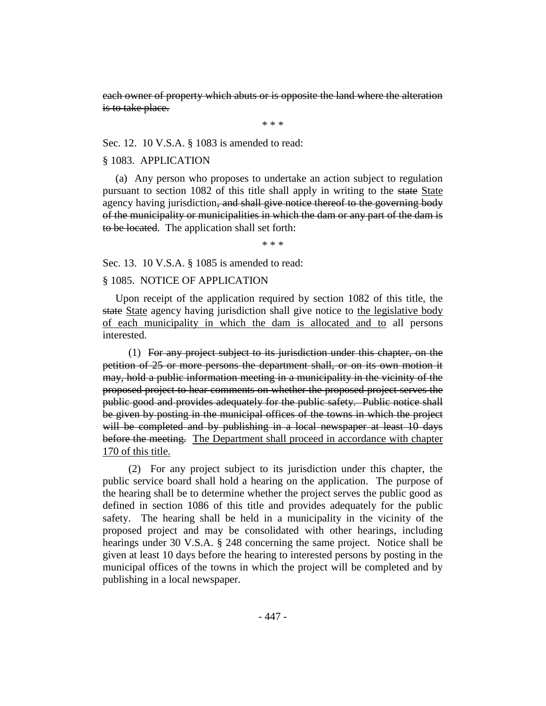each owner of property which abuts or is opposite the land where the alteration is to take place.

\* \* \*

Sec. 12. 10 V.S.A. § 1083 is amended to read:

#### § 1083. APPLICATION

(a) Any person who proposes to undertake an action subject to regulation pursuant to section 1082 of this title shall apply in writing to the state State agency having jurisdiction, and shall give notice thereof to the governing body of the municipality or municipalities in which the dam or any part of the dam is to be located. The application shall set forth:

\* \* \*

Sec. 13. 10 V.S.A. § 1085 is amended to read:

## § 1085. NOTICE OF APPLICATION

Upon receipt of the application required by section 1082 of this title, the state State agency having jurisdiction shall give notice to the legislative body of each municipality in which the dam is allocated and to all persons interested.

(1) For any project subject to its jurisdiction under this chapter, on the petition of 25 or more persons the department shall, or on its own motion it may, hold a public information meeting in a municipality in the vicinity of the proposed project to hear comments on whether the proposed project serves the public good and provides adequately for the public safety. Public notice shall be given by posting in the municipal offices of the towns in which the project will be completed and by publishing in a local newspaper at least 10 days before the meeting. The Department shall proceed in accordance with chapter 170 of this title.

(2) For any project subject to its jurisdiction under this chapter, the public service board shall hold a hearing on the application. The purpose of the hearing shall be to determine whether the project serves the public good as defined in section 1086 of this title and provides adequately for the public safety. The hearing shall be held in a municipality in the vicinity of the proposed project and may be consolidated with other hearings, including hearings under 30 V.S.A. § 248 concerning the same project. Notice shall be given at least 10 days before the hearing to interested persons by posting in the municipal offices of the towns in which the project will be completed and by publishing in a local newspaper.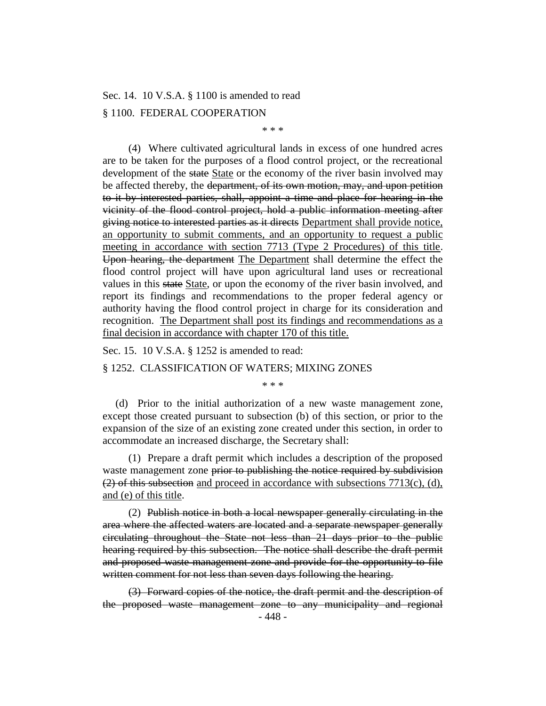Sec. 14. 10 V.S.A. § 1100 is amended to read

#### § 1100. FEDERAL COOPERATION

\* \* \*

(4) Where cultivated agricultural lands in excess of one hundred acres are to be taken for the purposes of a flood control project, or the recreational development of the state State or the economy of the river basin involved may be affected thereby, the <del>department, of its own motion, may, and upon petition</del> to it by interested parties, shall, appoint a time and place for hearing in the vicinity of the flood control project, hold a public information meeting after giving notice to interested parties as it directs Department shall provide notice, an opportunity to submit comments, and an opportunity to request a public meeting in accordance with section 7713 (Type 2 Procedures) of this title. Upon hearing, the department The Department shall determine the effect the flood control project will have upon agricultural land uses or recreational values in this state State, or upon the economy of the river basin involved, and report its findings and recommendations to the proper federal agency or authority having the flood control project in charge for its consideration and recognition. The Department shall post its findings and recommendations as a final decision in accordance with chapter 170 of this title.

Sec. 15. 10 V.S.A. § 1252 is amended to read:

§ 1252. CLASSIFICATION OF WATERS; MIXING ZONES

\* \* \*

(d) Prior to the initial authorization of a new waste management zone, except those created pursuant to subsection (b) of this section, or prior to the expansion of the size of an existing zone created under this section, in order to accommodate an increased discharge, the Secretary shall:

(1) Prepare a draft permit which includes a description of the proposed waste management zone prior to publishing the notice required by subdivision  $(2)$  of this subsection and proceed in accordance with subsections 7713(c), (d), and (e) of this title.

(2) Publish notice in both a local newspaper generally circulating in the area where the affected waters are located and a separate newspaper generally circulating throughout the State not less than 21 days prior to the public hearing required by this subsection. The notice shall describe the draft permit and proposed waste management zone and provide for the opportunity to file written comment for not less than seven days following the hearing.

(3) Forward copies of the notice, the draft permit and the description of the proposed waste management zone to any municipality and regional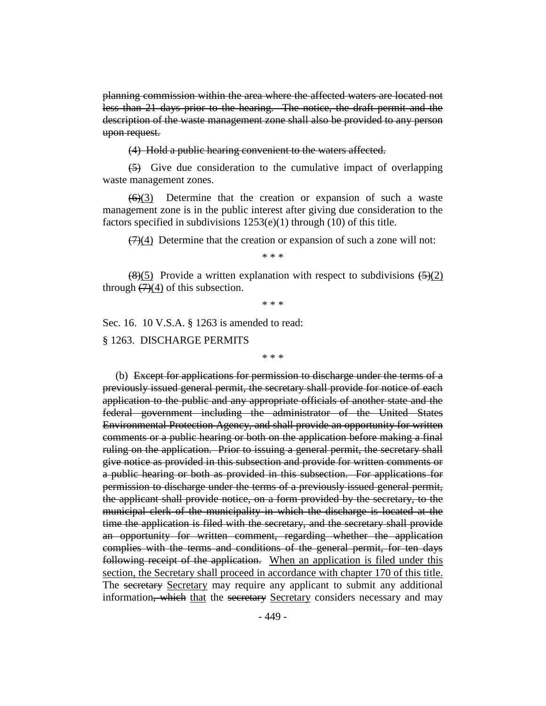planning commission within the area where the affected waters are located not less than 21 days prior to the hearing. The notice, the draft permit and the description of the waste management zone shall also be provided to any person upon request.

(4) Hold a public hearing convenient to the waters affected.

(5) Give due consideration to the cumulative impact of overlapping waste management zones.

 $(6)(3)$  Determine that the creation or expansion of such a waste management zone is in the public interest after giving due consideration to the factors specified in subdivisions  $1253(e)(1)$  through  $(10)$  of this title.

 $(7)(4)$  Determine that the creation or expansion of such a zone will not:

\* \* \*

 $\left(\frac{8}{5}\right)$  Provide a written explanation with respect to subdivisions  $\left(\frac{5}{2}\right)$ through  $(7)(4)$  of this subsection.

\* \* \*

Sec. 16. 10 V.S.A. § 1263 is amended to read:

§ 1263. DISCHARGE PERMITS

\* \* \*

(b) Except for applications for permission to discharge under the terms of a previously issued general permit, the secretary shall provide for notice of each application to the public and any appropriate officials of another state and the federal government including the administrator of the United States Environmental Protection Agency, and shall provide an opportunity for written comments or a public hearing or both on the application before making a final ruling on the application. Prior to issuing a general permit, the secretary shall give notice as provided in this subsection and provide for written comments or a public hearing or both as provided in this subsection. For applications for permission to discharge under the terms of a previously issued general permit, the applicant shall provide notice, on a form provided by the secretary, to the municipal clerk of the municipality in which the discharge is located at the time the application is filed with the secretary, and the secretary shall provide an opportunity for written comment, regarding whether the application complies with the terms and conditions of the general permit, for ten days following receipt of the application. When an application is filed under this section, the Secretary shall proceed in accordance with chapter 170 of this title. The secretary Secretary may require any applicant to submit any additional information, which that the secretary Secretary considers necessary and may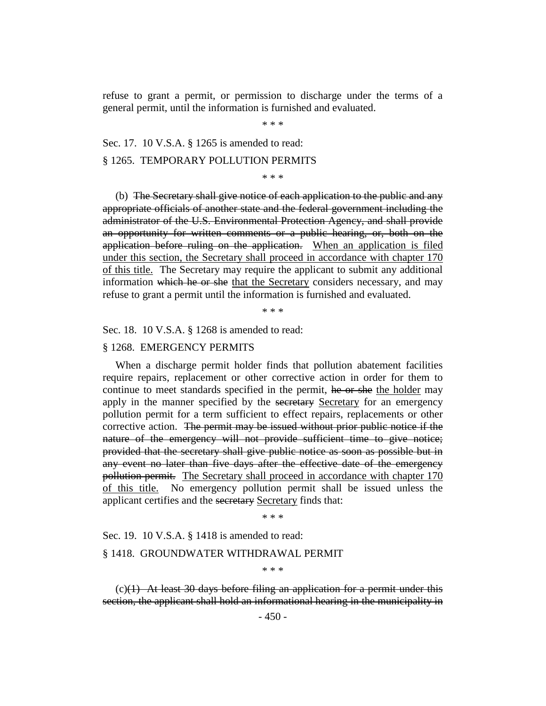refuse to grant a permit, or permission to discharge under the terms of a general permit, until the information is furnished and evaluated.

\* \* \*

#### Sec. 17. 10 V.S.A. § 1265 is amended to read:

#### § 1265. TEMPORARY POLLUTION PERMITS

\* \* \*

(b) The Secretary shall give notice of each application to the public and any appropriate officials of another state and the federal government including the administrator of the U.S. Environmental Protection Agency, and shall provide an opportunity for written comments or a public hearing, or, both on the application before ruling on the application. When an application is filed under this section, the Secretary shall proceed in accordance with chapter 170 of this title. The Secretary may require the applicant to submit any additional information which he or she that the Secretary considers necessary, and may refuse to grant a permit until the information is furnished and evaluated.

\* \* \*

Sec. 18. 10 V.S.A. § 1268 is amended to read:

#### § 1268. EMERGENCY PERMITS

When a discharge permit holder finds that pollution abatement facilities require repairs, replacement or other corrective action in order for them to continue to meet standards specified in the permit, he or she the holder may apply in the manner specified by the secretary Secretary for an emergency pollution permit for a term sufficient to effect repairs, replacements or other corrective action. The permit may be issued without prior public notice if the nature of the emergency will not provide sufficient time to give notice; provided that the secretary shall give public notice as soon as possible but in any event no later than five days after the effective date of the emergency pollution permit. The Secretary shall proceed in accordance with chapter 170 of this title. No emergency pollution permit shall be issued unless the applicant certifies and the secretary Secretary finds that:

\* \* \*

Sec. 19. 10 V.S.A. § 1418 is amended to read:

#### § 1418. GROUNDWATER WITHDRAWAL PERMIT

\* \* \*

 $(c)(1)$  At least 30 days before filing an application for a permit under this section, the applicant shall hold an informational hearing in the municipality in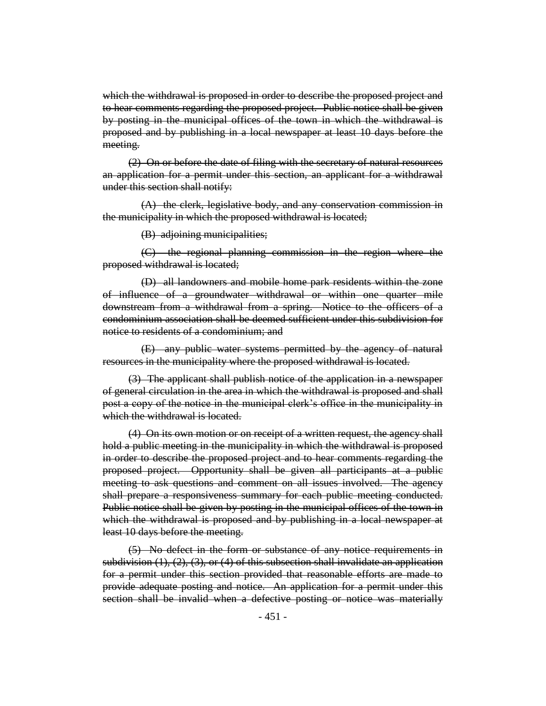which the withdrawal is proposed in order to describe the proposed project and to hear comments regarding the proposed project. Public notice shall be given by posting in the municipal offices of the town in which the withdrawal is proposed and by publishing in a local newspaper at least 10 days before the meeting.

(2) On or before the date of filing with the secretary of natural resources an application for a permit under this section, an applicant for a withdrawal under this section shall notify:

(A) the clerk, legislative body, and any conservation commission in the municipality in which the proposed withdrawal is located;

(B) adjoining municipalities;

(C) the regional planning commission in the region where the proposed withdrawal is located;

(D) all landowners and mobile home park residents within the zone of influence of a groundwater withdrawal or within one quarter mile downstream from a withdrawal from a spring. Notice to the officers of a condominium association shall be deemed sufficient under this subdivision for notice to residents of a condominium; and

(E) any public water systems permitted by the agency of natural resources in the municipality where the proposed withdrawal is located.

(3) The applicant shall publish notice of the application in a newspaper of general circulation in the area in which the withdrawal is proposed and shall post a copy of the notice in the municipal clerk's office in the municipality in which the withdrawal is located.

(4) On its own motion or on receipt of a written request, the agency shall hold a public meeting in the municipality in which the withdrawal is proposed in order to describe the proposed project and to hear comments regarding the proposed project. Opportunity shall be given all participants at a public meeting to ask questions and comment on all issues involved. The agency shall prepare a responsiveness summary for each public meeting conducted. Public notice shall be given by posting in the municipal offices of the town in which the withdrawal is proposed and by publishing in a local newspaper at least 10 days before the meeting.

(5) No defect in the form or substance of any notice requirements in subdivision  $(1)$ ,  $(2)$ ,  $(3)$ , or  $(4)$  of this subsection shall invalidate an application for a permit under this section provided that reasonable efforts are made to provide adequate posting and notice. An application for a permit under this section shall be invalid when a defective posting or notice was materially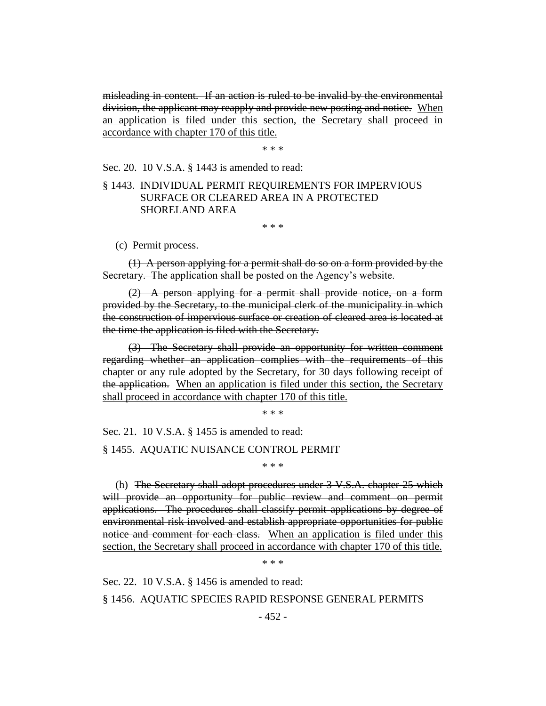misleading in content. If an action is ruled to be invalid by the environmental division, the applicant may reapply and provide new posting and notice. When an application is filed under this section, the Secretary shall proceed in accordance with chapter 170 of this title.

\* \* \*

Sec. 20. 10 V.S.A. § 1443 is amended to read:

## § 1443. INDIVIDUAL PERMIT REQUIREMENTS FOR IMPERVIOUS SURFACE OR CLEARED AREA IN A PROTECTED SHORELAND AREA

\* \* \*

(c) Permit process.

(1) A person applying for a permit shall do so on a form provided by the Secretary. The application shall be posted on the Agency's website.

(2) A person applying for a permit shall provide notice, on a form provided by the Secretary, to the municipal clerk of the municipality in which the construction of impervious surface or creation of cleared area is located at the time the application is filed with the Secretary.

(3) The Secretary shall provide an opportunity for written comment regarding whether an application complies with the requirements of this chapter or any rule adopted by the Secretary, for 30 days following receipt of the application. When an application is filed under this section, the Secretary shall proceed in accordance with chapter 170 of this title.

\* \* \*

Sec. 21. 10 V.S.A. § 1455 is amended to read:

§ 1455. AQUATIC NUISANCE CONTROL PERMIT

\* \* \*

(h) The Secretary shall adopt procedures under 3 V.S.A. chapter 25 which will provide an opportunity for public review and comment on permit applications. The procedures shall classify permit applications by degree of environmental risk involved and establish appropriate opportunities for public notice and comment for each class. When an application is filed under this section, the Secretary shall proceed in accordance with chapter 170 of this title.

\* \* \*

Sec. 22. 10 V.S.A. § 1456 is amended to read:

§ 1456. AQUATIC SPECIES RAPID RESPONSE GENERAL PERMITS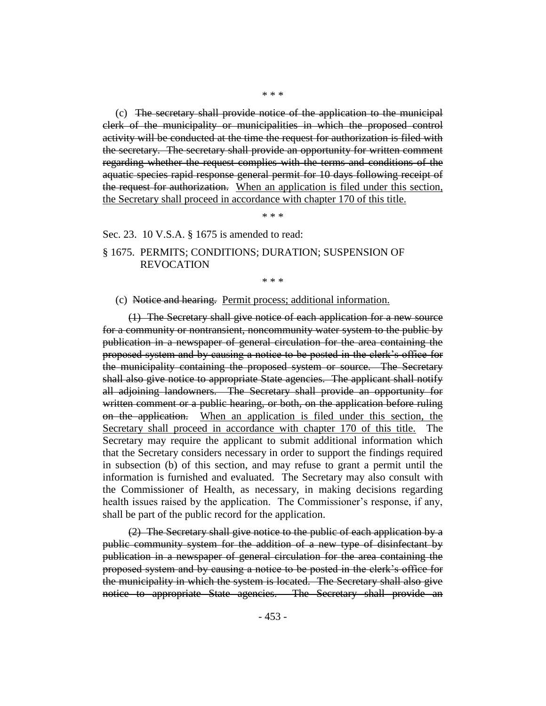(c) The secretary shall provide notice of the application to the municipal clerk of the municipality or municipalities in which the proposed control activity will be conducted at the time the request for authorization is filed with the secretary. The secretary shall provide an opportunity for written comment regarding whether the request complies with the terms and conditions of the aquatic species rapid response general permit for 10 days following receipt of the request for authorization. When an application is filed under this section, the Secretary shall proceed in accordance with chapter 170 of this title.

\* \* \*

Sec. 23. 10 V.S.A. § 1675 is amended to read:

§ 1675. PERMITS; CONDITIONS; DURATION; SUSPENSION OF REVOCATION

\* \* \*

#### (c) Notice and hearing. Permit process; additional information.

(1) The Secretary shall give notice of each application for a new source for a community or nontransient, noncommunity water system to the public by publication in a newspaper of general circulation for the area containing the proposed system and by causing a notice to be posted in the clerk's office for the municipality containing the proposed system or source. The Secretary shall also give notice to appropriate State agencies. The applicant shall notify all adjoining landowners. The Secretary shall provide an opportunity for written comment or a public hearing, or both, on the application before ruling on the application. When an application is filed under this section, the Secretary shall proceed in accordance with chapter 170 of this title. The Secretary may require the applicant to submit additional information which that the Secretary considers necessary in order to support the findings required in subsection (b) of this section, and may refuse to grant a permit until the information is furnished and evaluated. The Secretary may also consult with the Commissioner of Health, as necessary, in making decisions regarding health issues raised by the application. The Commissioner's response, if any, shall be part of the public record for the application.

(2) The Secretary shall give notice to the public of each application by a public community system for the addition of a new type of disinfectant by publication in a newspaper of general circulation for the area containing the proposed system and by causing a notice to be posted in the clerk's office for the municipality in which the system is located. The Secretary shall also give notice to appropriate State agencies. The Secretary shall provide an

\* \* \*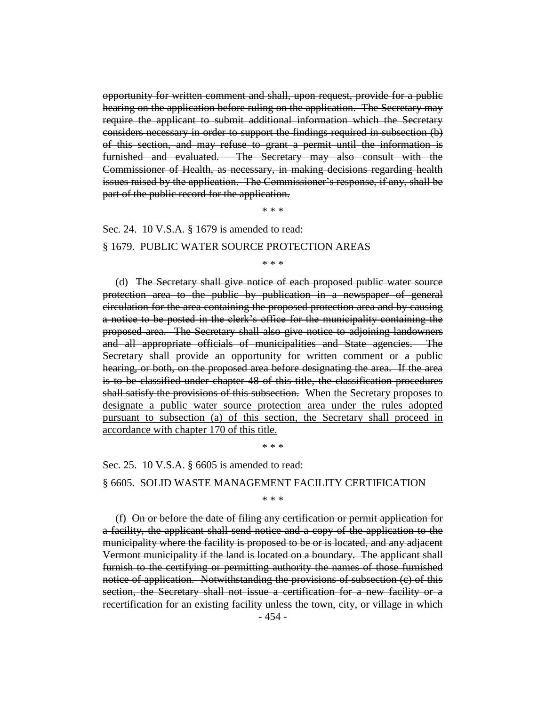opportunity for written comment and shall, upon request, provide for a public hearing on the application before ruling on the application. The Secretary may require the applicant to submit additional information which the Secretary considers necessary in order to support the findings required in subsection (b) of this section, and may refuse to grant a permit until the information is furnished and evaluated. The Secretary may also consult with the Commissioner of Health, as necessary, in making decisions regarding health issues raised by the application. The Commissioner's response, if any, shall be part of the public record for the application.

\* \* \*

Sec. 24. 10 V.S.A. § 1679 is amended to read:

#### § 1679. PUBLIC WATER SOURCE PROTECTION AREAS

\* \* \*

(d) The Secretary shall give notice of each proposed public water source protection area to the public by publication in a newspaper of general circulation for the area containing the proposed protection area and by causing a notice to be posted in the clerk's office for the municipality containing the proposed area. The Secretary shall also give notice to adjoining landowners and all appropriate officials of municipalities and State agencies. The Secretary shall provide an opportunity for written comment or a public hearing, or both, on the proposed area before designating the area. If the area is to be classified under chapter 48 of this title, the classification procedures shall satisfy the provisions of this subsection. When the Secretary proposes to designate a public water source protection area under the rules adopted pursuant to subsection (a) of this section, the Secretary shall proceed in accordance with chapter 170 of this title.

\* \* \*

Sec. 25. 10 V.S.A. § 6605 is amended to read:

§ 6605. SOLID WASTE MANAGEMENT FACILITY CERTIFICATION

\* \* \*

(f) On or before the date of filing any certification or permit application for a facility, the applicant shall send notice and a copy of the application to the municipality where the facility is proposed to be or is located, and any adjacent Vermont municipality if the land is located on a boundary. The applicant shall furnish to the certifying or permitting authority the names of those furnished notice of application. Notwithstanding the provisions of subsection (c) of this section, the Secretary shall not issue a certification for a new facility or a recertification for an existing facility unless the town, city, or village in which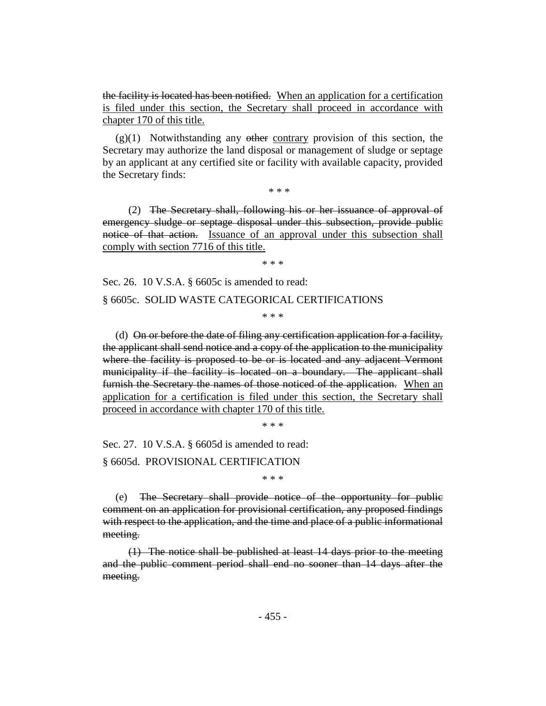the facility is located has been notified. When an application for a certification is filed under this section, the Secretary shall proceed in accordance with chapter 170 of this title.

 $(g)(1)$  Notwithstanding any other contrary provision of this section, the Secretary may authorize the land disposal or management of sludge or septage by an applicant at any certified site or facility with available capacity, provided the Secretary finds:

\* \* \*

(2) The Secretary shall, following his or her issuance of approval of emergency sludge or septage disposal under this subsection, provide public notice of that action. Issuance of an approval under this subsection shall comply with section 7716 of this title.

\* \* \*

Sec. 26. 10 V.S.A. § 6605c is amended to read:

#### § 6605c. SOLID WASTE CATEGORICAL CERTIFICATIONS

\* \* \*

(d) On or before the date of filing any certification application for a facility, the applicant shall send notice and a copy of the application to the municipality where the facility is proposed to be or is located and any adjacent Vermont municipality if the facility is located on a boundary. The applicant shall furnish the Secretary the names of those noticed of the application. When an application for a certification is filed under this section, the Secretary shall proceed in accordance with chapter 170 of this title.

\* \* \*

Sec. 27. 10 V.S.A. § 6605d is amended to read:

§ 6605d. PROVISIONAL CERTIFICATION

\* \* \*

(e) The Secretary shall provide notice of the opportunity for public comment on an application for provisional certification, any proposed findings with respect to the application, and the time and place of a public informational meeting.

(1) The notice shall be published at least 14 days prior to the meeting and the public comment period shall end no sooner than 14 days after the meeting.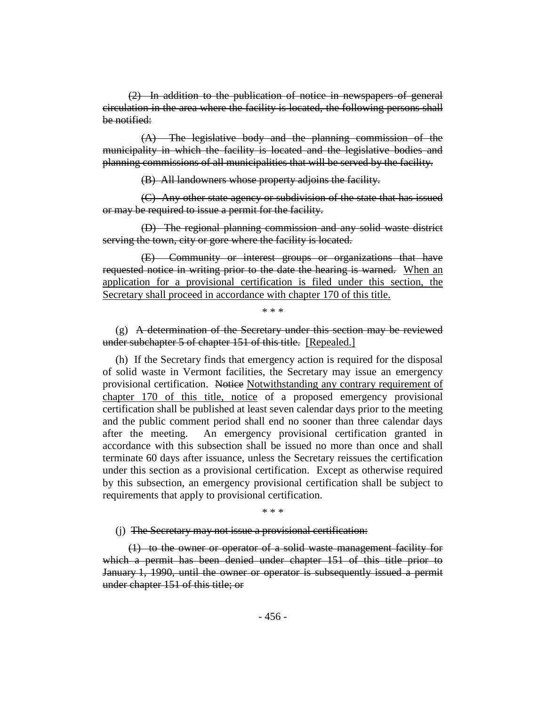(2) In addition to the publication of notice in newspapers of general circulation in the area where the facility is located, the following persons shall be notified:

(A) The legislative body and the planning commission of the municipality in which the facility is located and the legislative bodies and planning commissions of all municipalities that will be served by the facility.

(B) All landowners whose property adjoins the facility.

(C) Any other state agency or subdivision of the state that has issued or may be required to issue a permit for the facility.

(D) The regional planning commission and any solid waste district serving the town, city or gore where the facility is located.

(E) Community or interest groups or organizations that have requested notice in writing prior to the date the hearing is warned. When an application for a provisional certification is filed under this section, the Secretary shall proceed in accordance with chapter 170 of this title.

\* \* \*

(g) A determination of the Secretary under this section may be reviewed under subchapter 5 of chapter 151 of this title. [Repealed.]

(h) If the Secretary finds that emergency action is required for the disposal of solid waste in Vermont facilities, the Secretary may issue an emergency provisional certification. Notice Notwithstanding any contrary requirement of chapter 170 of this title, notice of a proposed emergency provisional certification shall be published at least seven calendar days prior to the meeting and the public comment period shall end no sooner than three calendar days after the meeting. An emergency provisional certification granted in accordance with this subsection shall be issued no more than once and shall terminate 60 days after issuance, unless the Secretary reissues the certification under this section as a provisional certification. Except as otherwise required by this subsection, an emergency provisional certification shall be subject to requirements that apply to provisional certification.

\* \* \*

(j) The Secretary may not issue a provisional certification:

(1) to the owner or operator of a solid waste management facility for which a permit has been denied under chapter 151 of this title prior to January 1, 1990, until the owner or operator is subsequently issued a permit under chapter 151 of this title; or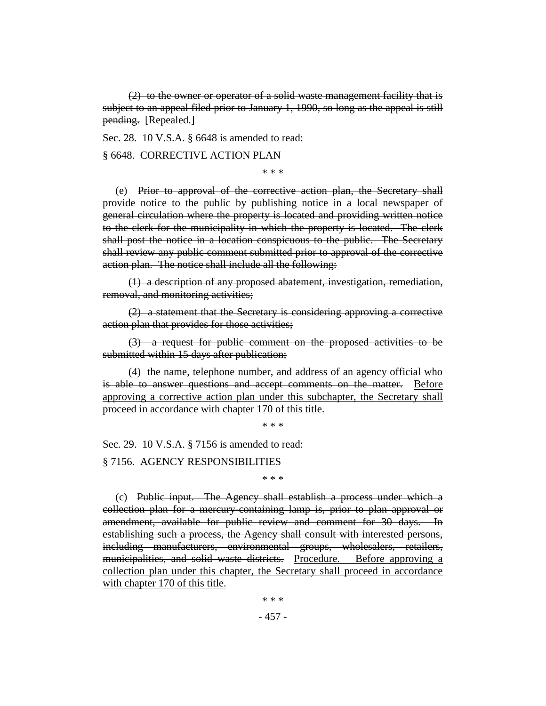(2) to the owner or operator of a solid waste management facility that is subject to an appeal filed prior to January 1, 1990, so long as the appeal is still pending. [Repealed.]

Sec. 28. 10 V.S.A. § 6648 is amended to read:

§ 6648. CORRECTIVE ACTION PLAN

\* \* \*

(e) Prior to approval of the corrective action plan, the Secretary shall provide notice to the public by publishing notice in a local newspaper of general circulation where the property is located and providing written notice to the clerk for the municipality in which the property is located. The clerk shall post the notice in a location conspicuous to the public. The Secretary shall review any public comment submitted prior to approval of the corrective action plan. The notice shall include all the following:

(1) a description of any proposed abatement, investigation, remediation, removal, and monitoring activities;

(2) a statement that the Secretary is considering approving a corrective action plan that provides for those activities;

(3) a request for public comment on the proposed activities to be submitted within 15 days after publication;

(4) the name, telephone number, and address of an agency official who is able to answer questions and accept comments on the matter. Before approving a corrective action plan under this subchapter, the Secretary shall proceed in accordance with chapter 170 of this title.

\* \* \*

Sec. 29. 10 V.S.A. § 7156 is amended to read:

§ 7156. AGENCY RESPONSIBILITIES

\* \* \*

(c) Public input. The Agency shall establish a process under which a collection plan for a mercury-containing lamp is, prior to plan approval or amendment, available for public review and comment for 30 days. In establishing such a process, the Agency shall consult with interested persons, including manufacturers, environmental groups, wholesalers, retailers, municipalities, and solid waste districts. Procedure. Before approving a collection plan under this chapter, the Secretary shall proceed in accordance with chapter 170 of this title.

- 457 -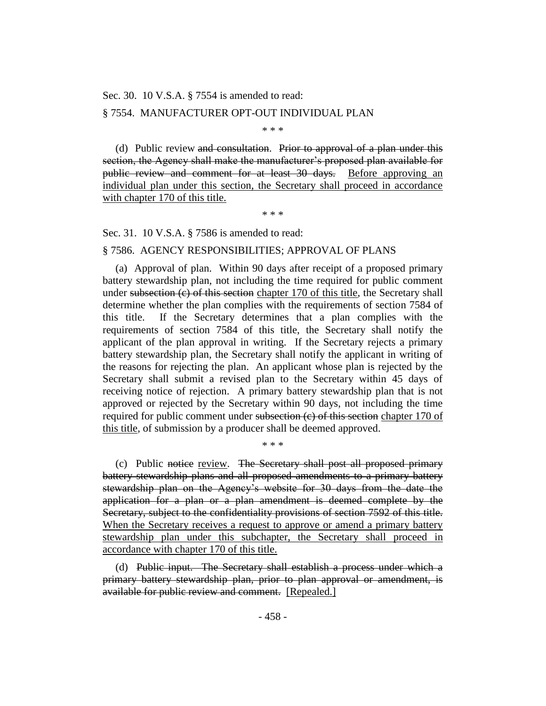Sec. 30. 10 V.S.A. § 7554 is amended to read:

#### § 7554. MANUFACTURER OPT-OUT INDIVIDUAL PLAN

\* \* \*

(d) Public review and consultation. Prior to approval of a plan under this section, the Agency shall make the manufacturer's proposed plan available for public review and comment for at least 30 days. Before approving an individual plan under this section, the Secretary shall proceed in accordance with chapter 170 of this title.

\* \* \*

Sec. 31. 10 V.S.A. § 7586 is amended to read:

#### § 7586. AGENCY RESPONSIBILITIES; APPROVAL OF PLANS

(a) Approval of plan. Within 90 days after receipt of a proposed primary battery stewardship plan, not including the time required for public comment under subsection  $(e)$  of this section chapter 170 of this title, the Secretary shall determine whether the plan complies with the requirements of section 7584 of this title. If the Secretary determines that a plan complies with the requirements of section 7584 of this title, the Secretary shall notify the applicant of the plan approval in writing. If the Secretary rejects a primary battery stewardship plan, the Secretary shall notify the applicant in writing of the reasons for rejecting the plan. An applicant whose plan is rejected by the Secretary shall submit a revised plan to the Secretary within 45 days of receiving notice of rejection. A primary battery stewardship plan that is not approved or rejected by the Secretary within 90 days, not including the time required for public comment under subsection  $(e)$  of this section chapter 170 of this title, of submission by a producer shall be deemed approved.

(c) Public notice review. The Secretary shall post all proposed primary battery stewardship plans and all proposed amendments to a primary battery stewardship plan on the Agency's website for 30 days from the date the application for a plan or a plan amendment is deemed complete by the Secretary, subject to the confidentiality provisions of section 7592 of this title. When the Secretary receives a request to approve or amend a primary battery stewardship plan under this subchapter, the Secretary shall proceed in accordance with chapter 170 of this title.

\* \* \*

(d) Public input. The Secretary shall establish a process under which a primary battery stewardship plan, prior to plan approval or amendment, is available for public review and comment. [Repealed.]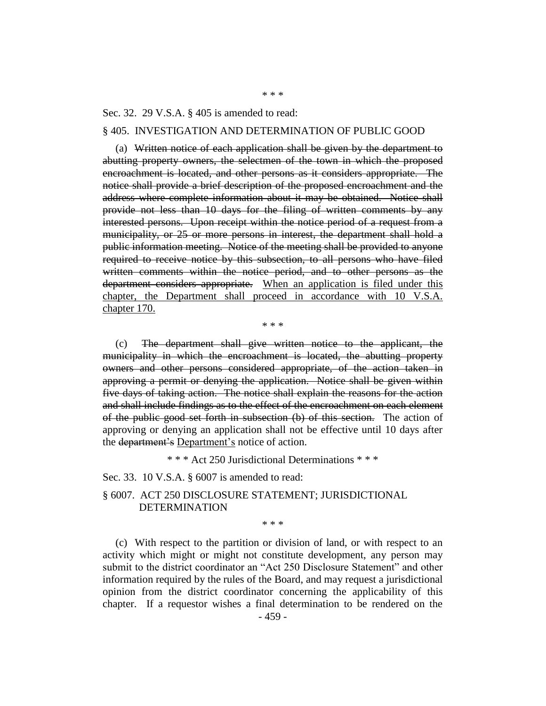Sec. 32. 29 V.S.A. § 405 is amended to read:

#### § 405. INVESTIGATION AND DETERMINATION OF PUBLIC GOOD

(a) Written notice of each application shall be given by the department to abutting property owners, the selectmen of the town in which the proposed encroachment is located, and other persons as it considers appropriate. The notice shall provide a brief description of the proposed encroachment and the address where complete information about it may be obtained. Notice shall provide not less than 10 days for the filing of written comments by any interested persons. Upon receipt within the notice period of a request from a municipality, or 25 or more persons in interest, the department shall hold a public information meeting. Notice of the meeting shall be provided to anyone required to receive notice by this subsection, to all persons who have filed written comments within the notice period, and to other persons as the department considers appropriate. When an application is filed under this chapter, the Department shall proceed in accordance with 10 V.S.A. chapter 170.

\* \* \*

(c) The department shall give written notice to the applicant, the municipality in which the encroachment is located, the abutting property owners and other persons considered appropriate, of the action taken in approving a permit or denying the application. Notice shall be given within five days of taking action. The notice shall explain the reasons for the action and shall include findings as to the effect of the encroachment on each element of the public good set forth in subsection (b) of this section. The action of approving or denying an application shall not be effective until 10 days after the department's Department's notice of action.

\* \* \* Act 250 Jurisdictional Determinations \* \* \*

#### Sec. 33. 10 V.S.A. § 6007 is amended to read:

## § 6007. ACT 250 DISCLOSURE STATEMENT; JURISDICTIONAL DETERMINATION

\* \* \*

(c) With respect to the partition or division of land, or with respect to an activity which might or might not constitute development, any person may submit to the district coordinator an "Act 250 Disclosure Statement" and other information required by the rules of the Board, and may request a jurisdictional opinion from the district coordinator concerning the applicability of this chapter. If a requestor wishes a final determination to be rendered on the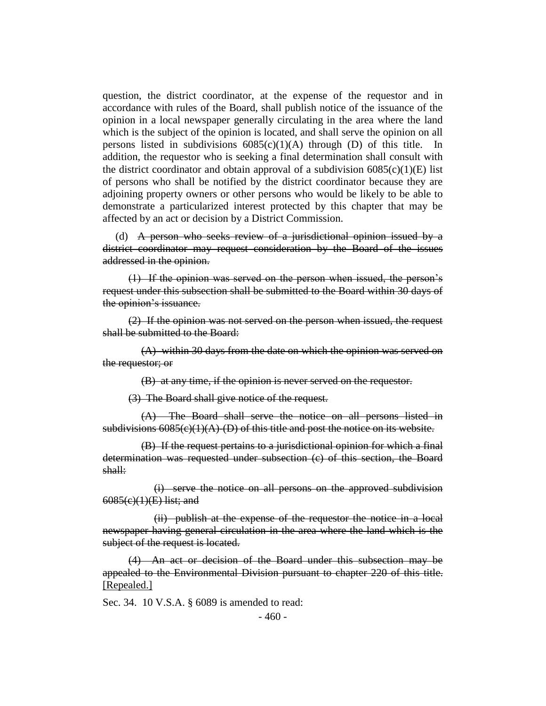question, the district coordinator, at the expense of the requestor and in accordance with rules of the Board, shall publish notice of the issuance of the opinion in a local newspaper generally circulating in the area where the land which is the subject of the opinion is located, and shall serve the opinion on all persons listed in subdivisions  $6085(c)(1)(A)$  through (D) of this title. In addition, the requestor who is seeking a final determination shall consult with the district coordinator and obtain approval of a subdivision  $6085(c)(1)(E)$  list of persons who shall be notified by the district coordinator because they are adjoining property owners or other persons who would be likely to be able to demonstrate a particularized interest protected by this chapter that may be affected by an act or decision by a District Commission.

(d) A person who seeks review of a jurisdictional opinion issued by a district coordinator may request consideration by the Board of the issues addressed in the opinion.

(1) If the opinion was served on the person when issued, the person's request under this subsection shall be submitted to the Board within 30 days of the opinion's issuance.

(2) If the opinion was not served on the person when issued, the request shall be submitted to the Board:

(A) within 30 days from the date on which the opinion was served on the requestor; or

(B) at any time, if the opinion is never served on the requestor.

(3) The Board shall give notice of the request.

(A) The Board shall serve the notice on all persons listed in subdivisions  $6085(c)(1)(A)$  (D) of this title and post the notice on its website.

(B) If the request pertains to a jurisdictional opinion for which a final determination was requested under subsection (c) of this section, the Board shall:

(i) serve the notice on all persons on the approved subdivision  $6085(c)(1)(E)$  list; and

(ii) publish at the expense of the requestor the notice in a local newspaper having general circulation in the area where the land which is the subject of the request is located.

(4) An act or decision of the Board under this subsection may be appealed to the Environmental Division pursuant to chapter 220 of this title. [Repealed.]

Sec. 34. 10 V.S.A. § 6089 is amended to read: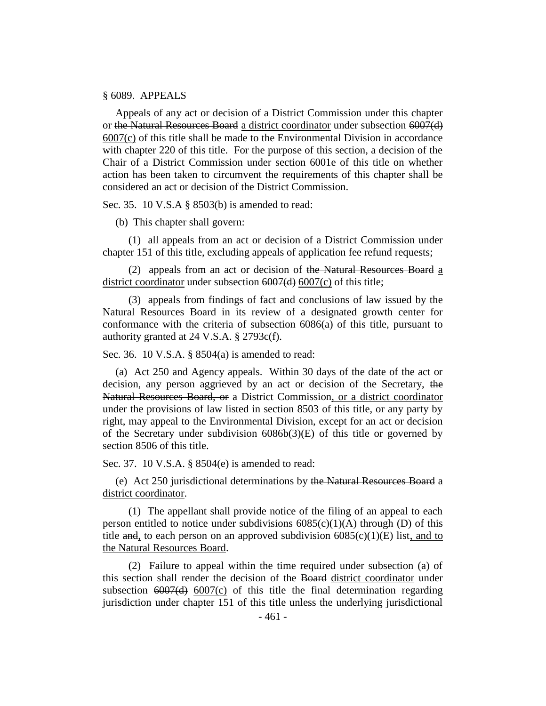#### § 6089. APPEALS

Appeals of any act or decision of a District Commission under this chapter or the Natural Resources Board a district coordinator under subsection 6007(d) 6007(c) of this title shall be made to the Environmental Division in accordance with chapter 220 of this title. For the purpose of this section, a decision of the Chair of a District Commission under section 6001e of this title on whether action has been taken to circumvent the requirements of this chapter shall be considered an act or decision of the District Commission.

Sec. 35. 10 V.S.A § 8503(b) is amended to read:

(b) This chapter shall govern:

(1) all appeals from an act or decision of a District Commission under chapter 151 of this title, excluding appeals of application fee refund requests;

(2) appeals from an act or decision of the Natural Resources Board a district coordinator under subsection <del>6007(d)</del> 6007(c) of this title;

(3) appeals from findings of fact and conclusions of law issued by the Natural Resources Board in its review of a designated growth center for conformance with the criteria of subsection 6086(a) of this title, pursuant to authority granted at 24 V.S.A. § 2793c(f).

Sec. 36. 10 V.S.A. § 8504(a) is amended to read:

(a) Act 250 and Agency appeals. Within 30 days of the date of the act or decision, any person aggrieved by an act or decision of the Secretary, the Natural Resources Board, or a District Commission, or a district coordinator under the provisions of law listed in section 8503 of this title, or any party by right, may appeal to the Environmental Division, except for an act or decision of the Secretary under subdivision  $6086b(3)(E)$  of this title or governed by section 8506 of this title.

Sec. 37. 10 V.S.A. § 8504(e) is amended to read:

(e) Act 250 jurisdictional determinations by the Natural Resources Board a district coordinator.

(1) The appellant shall provide notice of the filing of an appeal to each person entitled to notice under subdivisions  $6085(c)(1)(A)$  through (D) of this title and, to each person on an approved subdivision  $6085(c)(1)(E)$  list, and to the Natural Resources Board.

(2) Failure to appeal within the time required under subsection (a) of this section shall render the decision of the Board district coordinator under subsection  $\frac{6007}{d}$  6007(c) of this title the final determination regarding jurisdiction under chapter 151 of this title unless the underlying jurisdictional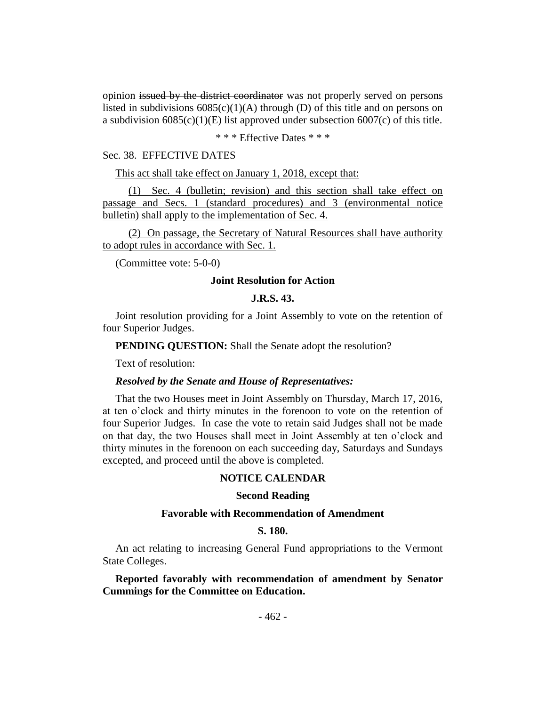opinion issued by the district coordinator was not properly served on persons listed in subdivisions  $6085(c)(1)(A)$  through (D) of this title and on persons on a subdivision  $6085(c)(1)(E)$  list approved under subsection  $6007(c)$  of this title.

\* \* \* Effective Dates \* \* \*

#### Sec. 38. EFFECTIVE DATES

This act shall take effect on January 1, 2018, except that:

(1) Sec. 4 (bulletin; revision) and this section shall take effect on passage and Secs. 1 (standard procedures) and 3 (environmental notice bulletin) shall apply to the implementation of Sec. 4.

(2) On passage, the Secretary of Natural Resources shall have authority to adopt rules in accordance with Sec. 1.

(Committee vote: 5-0-0)

#### **Joint Resolution for Action**

#### **J.R.S. 43.**

Joint resolution providing for a Joint Assembly to vote on the retention of four Superior Judges.

**PENDING OUESTION:** Shall the Senate adopt the resolution?

Text of resolution:

#### *Resolved by the Senate and House of Representatives:*

That the two Houses meet in Joint Assembly on Thursday, March 17, 2016, at ten o'clock and thirty minutes in the forenoon to vote on the retention of four Superior Judges. In case the vote to retain said Judges shall not be made on that day, the two Houses shall meet in Joint Assembly at ten o'clock and thirty minutes in the forenoon on each succeeding day, Saturdays and Sundays excepted, and proceed until the above is completed.

#### **NOTICE CALENDAR**

## **Second Reading**

#### **Favorable with Recommendation of Amendment**

## **S. 180.**

An act relating to increasing General Fund appropriations to the Vermont State Colleges.

**Reported favorably with recommendation of amendment by Senator Cummings for the Committee on Education.**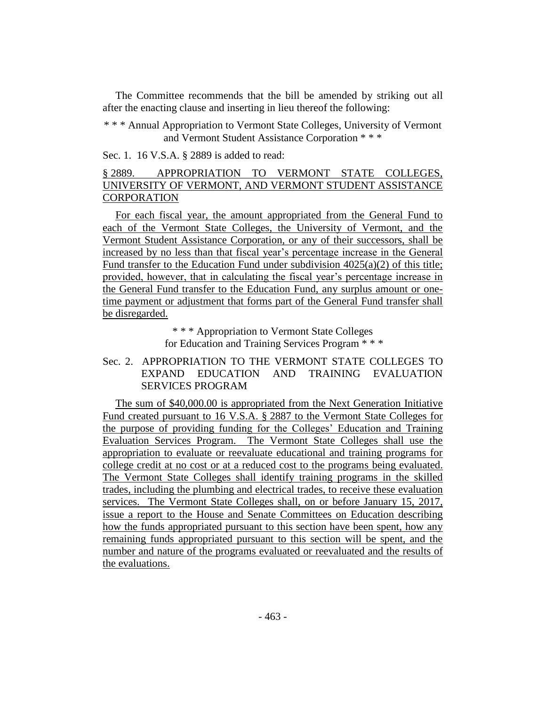The Committee recommends that the bill be amended by striking out all after the enacting clause and inserting in lieu thereof the following:

\* \* \* Annual Appropriation to Vermont State Colleges, University of Vermont and Vermont Student Assistance Corporation \* \* \*

Sec. 1. 16 V.S.A. § 2889 is added to read:

## § 2889. APPROPRIATION TO VERMONT STATE COLLEGES, UNIVERSITY OF VERMONT, AND VERMONT STUDENT ASSISTANCE **CORPORATION**

For each fiscal year, the amount appropriated from the General Fund to each of the Vermont State Colleges, the University of Vermont, and the Vermont Student Assistance Corporation, or any of their successors, shall be increased by no less than that fiscal year's percentage increase in the General Fund transfer to the Education Fund under subdivision 4025(a)(2) of this title; provided, however, that in calculating the fiscal year's percentage increase in the General Fund transfer to the Education Fund, any surplus amount or onetime payment or adjustment that forms part of the General Fund transfer shall be disregarded.

> \* \* \* Appropriation to Vermont State Colleges for Education and Training Services Program \* \* \*

Sec. 2. APPROPRIATION TO THE VERMONT STATE COLLEGES TO EXPAND EDUCATION AND TRAINING EVALUATION SERVICES PROGRAM

The sum of \$40,000.00 is appropriated from the Next Generation Initiative Fund created pursuant to 16 V.S.A. § 2887 to the Vermont State Colleges for the purpose of providing funding for the Colleges' Education and Training Evaluation Services Program. The Vermont State Colleges shall use the appropriation to evaluate or reevaluate educational and training programs for college credit at no cost or at a reduced cost to the programs being evaluated. The Vermont State Colleges shall identify training programs in the skilled trades, including the plumbing and electrical trades, to receive these evaluation services. The Vermont State Colleges shall, on or before January 15, 2017, issue a report to the House and Senate Committees on Education describing how the funds appropriated pursuant to this section have been spent, how any remaining funds appropriated pursuant to this section will be spent, and the number and nature of the programs evaluated or reevaluated and the results of the evaluations.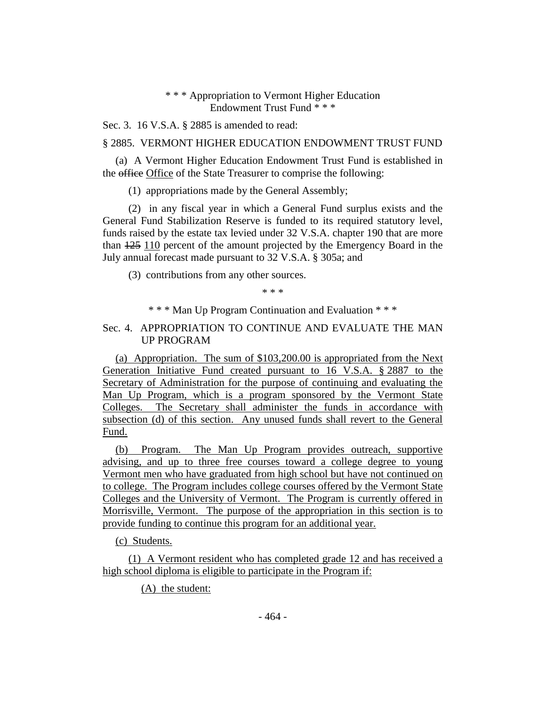## \* \* \* Appropriation to Vermont Higher Education Endowment Trust Fund \* \* \*

Sec. 3. 16 V.S.A. § 2885 is amended to read:

## § 2885. VERMONT HIGHER EDUCATION ENDOWMENT TRUST FUND

(a) A Vermont Higher Education Endowment Trust Fund is established in the office Office of the State Treasurer to comprise the following:

(1) appropriations made by the General Assembly;

(2) in any fiscal year in which a General Fund surplus exists and the General Fund Stabilization Reserve is funded to its required statutory level, funds raised by the estate tax levied under 32 V.S.A. chapter 190 that are more than 125 110 percent of the amount projected by the Emergency Board in the July annual forecast made pursuant to 32 V.S.A. § 305a; and

(3) contributions from any other sources.

\* \* \*

\* \* \* Man Up Program Continuation and Evaluation \* \* \*

## Sec. 4. APPROPRIATION TO CONTINUE AND EVALUATE THE MAN UP PROGRAM

(a) Appropriation. The sum of \$103,200.00 is appropriated from the Next Generation Initiative Fund created pursuant to 16 V.S.A. § 2887 to the Secretary of Administration for the purpose of continuing and evaluating the Man Up Program, which is a program sponsored by the Vermont State Colleges. The Secretary shall administer the funds in accordance with subsection (d) of this section. Any unused funds shall revert to the General Fund.

(b) Program. The Man Up Program provides outreach, supportive advising, and up to three free courses toward a college degree to young Vermont men who have graduated from high school but have not continued on to college. The Program includes college courses offered by the Vermont State Colleges and the University of Vermont. The Program is currently offered in Morrisville, Vermont. The purpose of the appropriation in this section is to provide funding to continue this program for an additional year.

(c) Students.

(1) A Vermont resident who has completed grade 12 and has received a high school diploma is eligible to participate in the Program if:

(A) the student: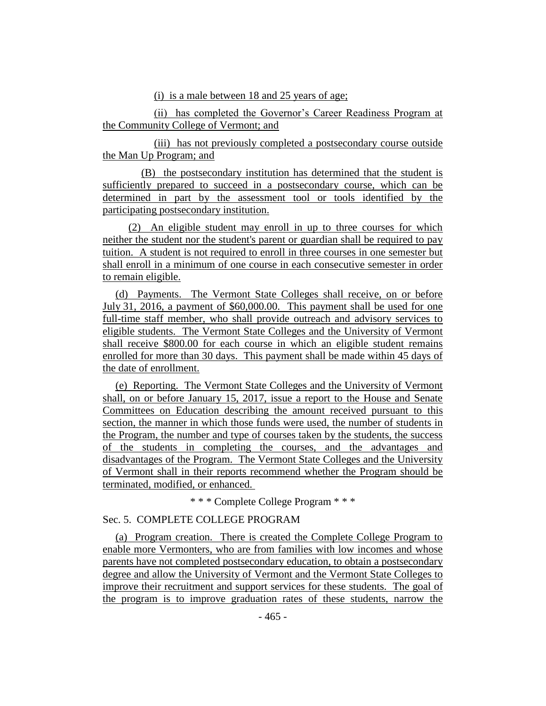(i) is a male between 18 and 25 years of age;

(ii) has completed the Governor's Career Readiness Program at the Community College of Vermont; and

(iii) has not previously completed a postsecondary course outside the Man Up Program; and

(B) the postsecondary institution has determined that the student is sufficiently prepared to succeed in a postsecondary course, which can be determined in part by the assessment tool or tools identified by the participating postsecondary institution.

(2) An eligible student may enroll in up to three courses for which neither the student nor the student's parent or guardian shall be required to pay tuition. A student is not required to enroll in three courses in one semester but shall enroll in a minimum of one course in each consecutive semester in order to remain eligible.

(d) Payments. The Vermont State Colleges shall receive, on or before July 31, 2016, a payment of \$60,000.00. This payment shall be used for one full-time staff member, who shall provide outreach and advisory services to eligible students. The Vermont State Colleges and the University of Vermont shall receive \$800.00 for each course in which an eligible student remains enrolled for more than 30 days. This payment shall be made within 45 days of the date of enrollment.

(e) Reporting. The Vermont State Colleges and the University of Vermont shall, on or before January 15, 2017, issue a report to the House and Senate Committees on Education describing the amount received pursuant to this section, the manner in which those funds were used, the number of students in the Program, the number and type of courses taken by the students, the success of the students in completing the courses, and the advantages and disadvantages of the Program. The Vermont State Colleges and the University of Vermont shall in their reports recommend whether the Program should be terminated, modified, or enhanced.

\* \* \* Complete College Program \* \* \*

## Sec. 5. COMPLETE COLLEGE PROGRAM

(a) Program creation. There is created the Complete College Program to enable more Vermonters, who are from families with low incomes and whose parents have not completed postsecondary education, to obtain a postsecondary degree and allow the University of Vermont and the Vermont State Colleges to improve their recruitment and support services for these students. The goal of the program is to improve graduation rates of these students, narrow the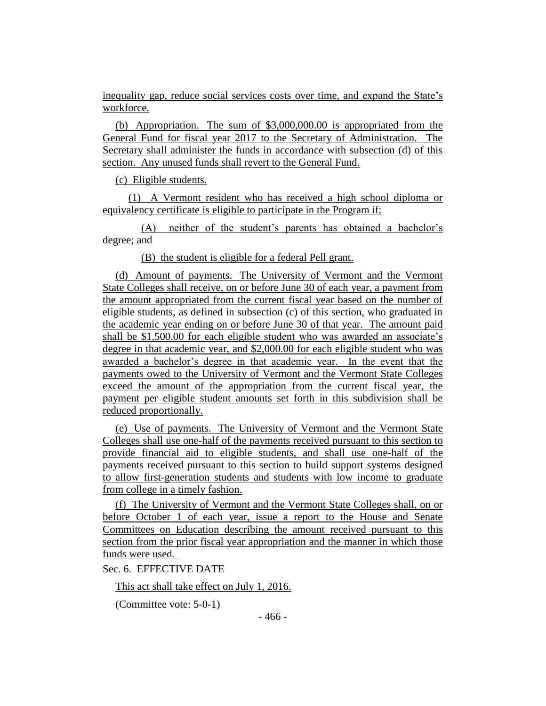inequality gap, reduce social services costs over time, and expand the State's workforce.

(b) Appropriation. The sum of \$3,000,000.00 is appropriated from the General Fund for fiscal year 2017 to the Secretary of Administration. The Secretary shall administer the funds in accordance with subsection (d) of this section. Any unused funds shall revert to the General Fund.

(c) Eligible students.

(1) A Vermont resident who has received a high school diploma or equivalency certificate is eligible to participate in the Program if:

(A) neither of the student's parents has obtained a bachelor's degree; and

(B) the student is eligible for a federal Pell grant.

(d) Amount of payments. The University of Vermont and the Vermont State Colleges shall receive, on or before June 30 of each year, a payment from the amount appropriated from the current fiscal year based on the number of eligible students, as defined in subsection (c) of this section, who graduated in the academic year ending on or before June 30 of that year. The amount paid shall be \$1,500.00 for each eligible student who was awarded an associate's degree in that academic year, and \$2,000.00 for each eligible student who was awarded a bachelor's degree in that academic year. In the event that the payments owed to the University of Vermont and the Vermont State Colleges exceed the amount of the appropriation from the current fiscal year, the payment per eligible student amounts set forth in this subdivision shall be reduced proportionally.

(e) Use of payments. The University of Vermont and the Vermont State Colleges shall use one-half of the payments received pursuant to this section to provide financial aid to eligible students, and shall use one-half of the payments received pursuant to this section to build support systems designed to allow first-generation students and students with low income to graduate from college in a timely fashion.

(f) The University of Vermont and the Vermont State Colleges shall, on or before October 1 of each year, issue a report to the House and Senate Committees on Education describing the amount received pursuant to this section from the prior fiscal year appropriation and the manner in which those funds were used.

Sec. 6. EFFECTIVE DATE

This act shall take effect on July 1, 2016.

(Committee vote: 5-0-1)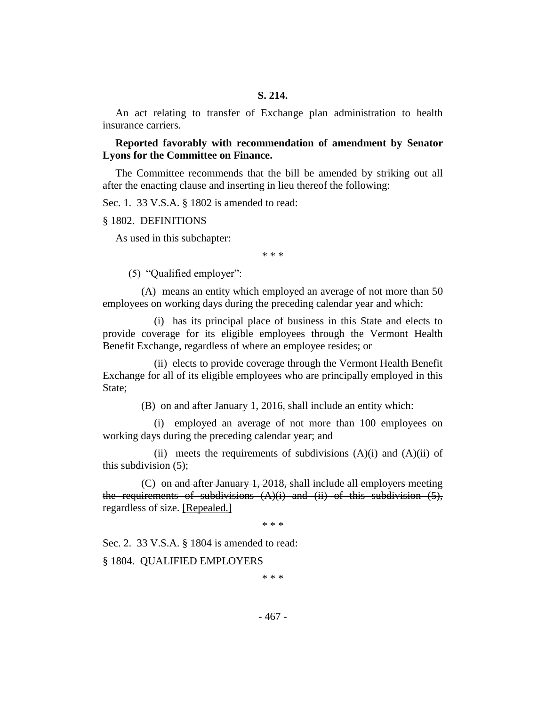An act relating to transfer of Exchange plan administration to health insurance carriers.

**Reported favorably with recommendation of amendment by Senator Lyons for the Committee on Finance.**

The Committee recommends that the bill be amended by striking out all after the enacting clause and inserting in lieu thereof the following:

Sec. 1. 33 V.S.A. § 1802 is amended to read:

§ 1802. DEFINITIONS

As used in this subchapter:

\* \* \*

(5) "Qualified employer":

(A) means an entity which employed an average of not more than 50 employees on working days during the preceding calendar year and which:

(i) has its principal place of business in this State and elects to provide coverage for its eligible employees through the Vermont Health Benefit Exchange, regardless of where an employee resides; or

(ii) elects to provide coverage through the Vermont Health Benefit Exchange for all of its eligible employees who are principally employed in this State;

(B) on and after January 1, 2016, shall include an entity which:

(i) employed an average of not more than 100 employees on working days during the preceding calendar year; and

(ii) meets the requirements of subdivisions  $(A)(i)$  and  $(A)(ii)$  of this subdivision (5);

(C) on and after January 1, 2018, shall include all employers meeting the requirements of subdivisions  $(A)(i)$  and  $(ii)$  of this subdivision  $(5)$ , regardless of size. [Repealed.]

\* \* \*

Sec. 2. 33 V.S.A. § 1804 is amended to read:

§ 1804. QUALIFIED EMPLOYERS

\* \* \*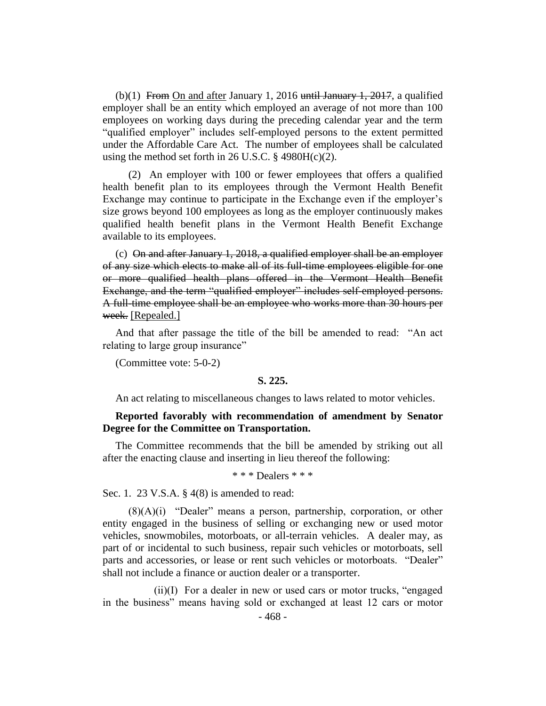(b)(1) From On and after January 1, 2016 until January 1, 2017, a qualified employer shall be an entity which employed an average of not more than 100 employees on working days during the preceding calendar year and the term "qualified employer" includes self-employed persons to the extent permitted under the Affordable Care Act. The number of employees shall be calculated using the method set forth in 26 U.S.C.  $\S$  4980H(c)(2).

(2) An employer with 100 or fewer employees that offers a qualified health benefit plan to its employees through the Vermont Health Benefit Exchange may continue to participate in the Exchange even if the employer's size grows beyond 100 employees as long as the employer continuously makes qualified health benefit plans in the Vermont Health Benefit Exchange available to its employees.

(c) On and after January 1, 2018, a qualified employer shall be an employer of any size which elects to make all of its full-time employees eligible for one or more qualified health plans offered in the Vermont Health Benefit Exchange, and the term "qualified employer" includes self-employed persons. A full-time employee shall be an employee who works more than 30 hours per week. [Repealed.]

And that after passage the title of the bill be amended to read: "An act relating to large group insurance"

(Committee vote: 5-0-2)

#### **S. 225.**

An act relating to miscellaneous changes to laws related to motor vehicles.

## **Reported favorably with recommendation of amendment by Senator Degree for the Committee on Transportation.**

The Committee recommends that the bill be amended by striking out all after the enacting clause and inserting in lieu thereof the following:

\* \* \* Dealers \* \* \*

Sec. 1. 23 V.S.A. § 4(8) is amended to read:

(8)(A)(i) "Dealer" means a person, partnership, corporation, or other entity engaged in the business of selling or exchanging new or used motor vehicles, snowmobiles, motorboats, or all-terrain vehicles. A dealer may, as part of or incidental to such business, repair such vehicles or motorboats, sell parts and accessories, or lease or rent such vehicles or motorboats. "Dealer" shall not include a finance or auction dealer or a transporter.

(ii)(I) For a dealer in new or used cars or motor trucks, "engaged in the business" means having sold or exchanged at least 12 cars or motor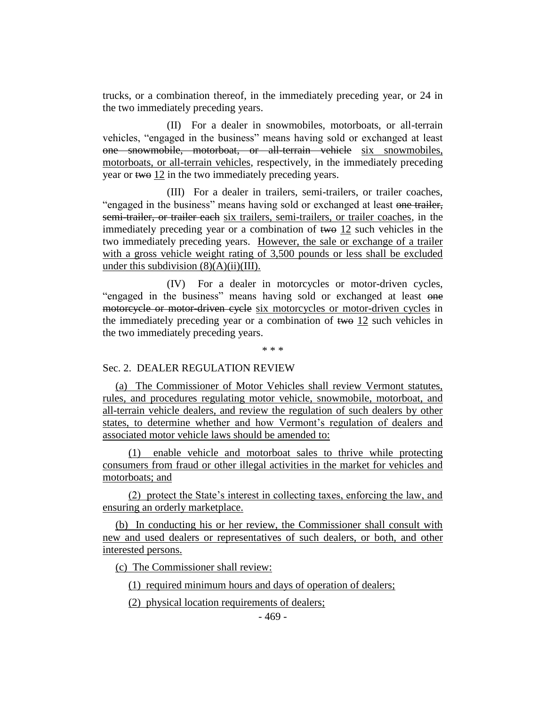trucks, or a combination thereof, in the immediately preceding year, or 24 in the two immediately preceding years.

(II) For a dealer in snowmobiles, motorboats, or all-terrain vehicles, "engaged in the business" means having sold or exchanged at least one snowmobile, motorboat, or all-terrain vehicle six snowmobiles, motorboats, or all-terrain vehicles, respectively, in the immediately preceding year or two 12 in the two immediately preceding years.

(III) For a dealer in trailers, semi-trailers, or trailer coaches, "engaged in the business" means having sold or exchanged at least one trailer, semi-trailer, or trailer each six trailers, semi-trailers, or trailer coaches, in the immediately preceding year or a combination of  $\theta$  and  $\theta$  and  $\theta$  and  $\theta$  in the two immediately preceding years. However, the sale or exchange of a trailer with a gross vehicle weight rating of 3,500 pounds or less shall be excluded under this subdivision  $(8)(A)(ii)(III)$ .

(IV) For a dealer in motorcycles or motor-driven cycles, "engaged in the business" means having sold or exchanged at least one motorcycle or motor-driven cycle six motorcycles or motor-driven cycles in the immediately preceding year or a combination of two 12 such vehicles in the two immediately preceding years.

\* \* \*

## Sec. 2. DEALER REGULATION REVIEW

(a) The Commissioner of Motor Vehicles shall review Vermont statutes, rules, and procedures regulating motor vehicle, snowmobile, motorboat, and all-terrain vehicle dealers, and review the regulation of such dealers by other states, to determine whether and how Vermont's regulation of dealers and associated motor vehicle laws should be amended to:

(1) enable vehicle and motorboat sales to thrive while protecting consumers from fraud or other illegal activities in the market for vehicles and motorboats; and

(2) protect the State's interest in collecting taxes, enforcing the law, and ensuring an orderly marketplace.

(b) In conducting his or her review, the Commissioner shall consult with new and used dealers or representatives of such dealers, or both, and other interested persons.

(c) The Commissioner shall review:

(1) required minimum hours and days of operation of dealers;

(2) physical location requirements of dealers;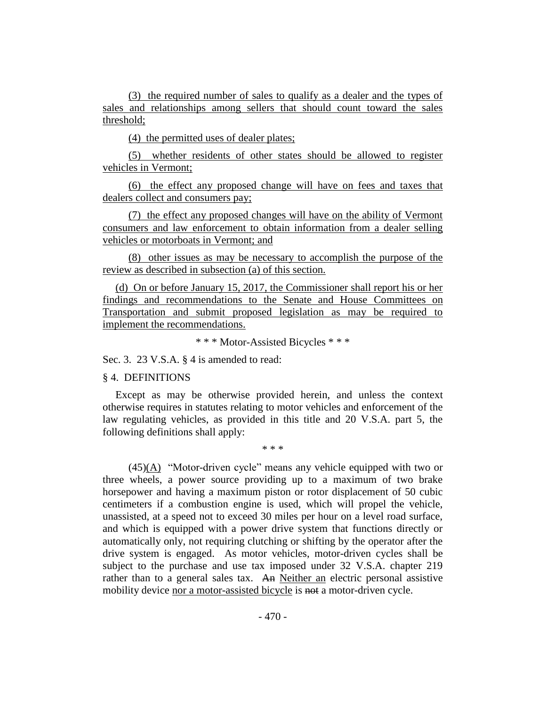(3) the required number of sales to qualify as a dealer and the types of sales and relationships among sellers that should count toward the sales threshold;

(4) the permitted uses of dealer plates;

(5) whether residents of other states should be allowed to register vehicles in Vermont;

(6) the effect any proposed change will have on fees and taxes that dealers collect and consumers pay;

(7) the effect any proposed changes will have on the ability of Vermont consumers and law enforcement to obtain information from a dealer selling vehicles or motorboats in Vermont; and

(8) other issues as may be necessary to accomplish the purpose of the review as described in subsection (a) of this section.

(d) On or before January 15, 2017, the Commissioner shall report his or her findings and recommendations to the Senate and House Committees on Transportation and submit proposed legislation as may be required to implement the recommendations.

\* \* \* Motor-Assisted Bicycles \* \* \*

Sec. 3. 23 V.S.A. § 4 is amended to read:

#### § 4. DEFINITIONS

Except as may be otherwise provided herein, and unless the context otherwise requires in statutes relating to motor vehicles and enforcement of the law regulating vehicles, as provided in this title and 20 V.S.A. part 5, the following definitions shall apply:

\* \* \*

(45)(A) "Motor-driven cycle" means any vehicle equipped with two or three wheels, a power source providing up to a maximum of two brake horsepower and having a maximum piston or rotor displacement of 50 cubic centimeters if a combustion engine is used, which will propel the vehicle, unassisted, at a speed not to exceed 30 miles per hour on a level road surface, and which is equipped with a power drive system that functions directly or automatically only, not requiring clutching or shifting by the operator after the drive system is engaged. As motor vehicles, motor-driven cycles shall be subject to the purchase and use tax imposed under 32 V.S.A. chapter 219 rather than to a general sales tax. An Neither an electric personal assistive mobility device nor a motor-assisted bicycle is not a motor-driven cycle.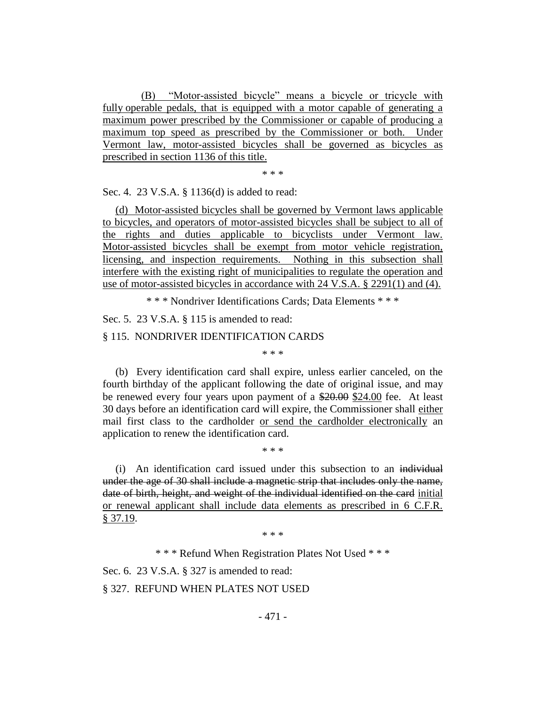(B) "Motor-assisted bicycle" means a bicycle or tricycle with fully operable pedals, that is equipped with a motor capable of generating a maximum power prescribed by the Commissioner or capable of producing a maximum top speed as prescribed by the Commissioner or both. Under Vermont law, motor-assisted bicycles shall be governed as bicycles as prescribed in section 1136 of this title.

\* \* \*

Sec. 4. 23 V.S.A. § 1136(d) is added to read:

(d) Motor-assisted bicycles shall be governed by Vermont laws applicable to bicycles, and operators of motor-assisted bicycles shall be subject to all of the rights and duties applicable to bicyclists under Vermont law. Motor-assisted bicycles shall be exempt from motor vehicle registration, licensing, and inspection requirements. Nothing in this subsection shall interfere with the existing right of municipalities to regulate the operation and use of motor-assisted bicycles in accordance with 24 V.S.A. § 2291(1) and (4).

\* \* \* Nondriver Identifications Cards; Data Elements \* \* \*

Sec. 5. 23 V.S.A. § 115 is amended to read:

#### § 115. NONDRIVER IDENTIFICATION CARDS

\* \* \*

(b) Every identification card shall expire, unless earlier canceled, on the fourth birthday of the applicant following the date of original issue, and may be renewed every four years upon payment of a \$20.00 \$24.00 fee. At least 30 days before an identification card will expire, the Commissioner shall either mail first class to the cardholder or send the cardholder electronically an application to renew the identification card.

\* \* \*

(i) An identification card issued under this subsection to an individual under the age of 30 shall include a magnetic strip that includes only the name, date of birth, height, and weight of the individual identified on the card initial or renewal applicant shall include data elements as prescribed in 6 C.F.R. § 37.19.

\* \* \*

\* \* \* Refund When Registration Plates Not Used \* \* \*

Sec. 6. 23 V.S.A. § 327 is amended to read:

§ 327. REFUND WHEN PLATES NOT USED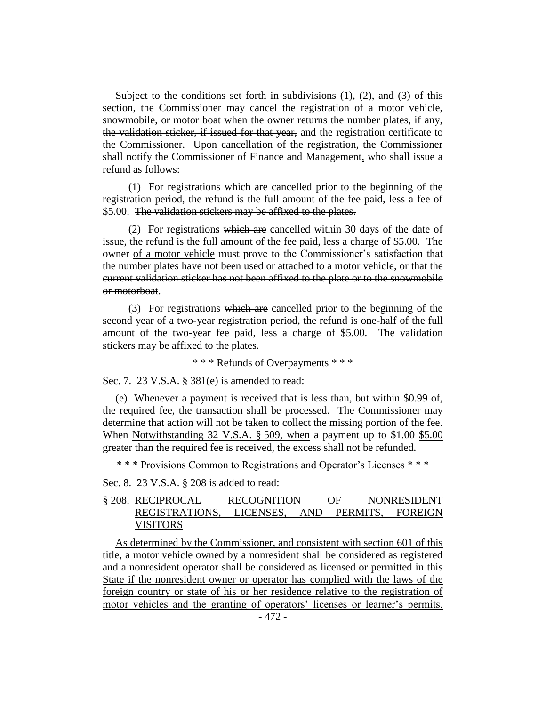Subject to the conditions set forth in subdivisions  $(1)$ ,  $(2)$ , and  $(3)$  of this section, the Commissioner may cancel the registration of a motor vehicle, snowmobile, or motor boat when the owner returns the number plates, if any, the validation sticker, if issued for that year, and the registration certificate to the Commissioner. Upon cancellation of the registration, the Commissioner shall notify the Commissioner of Finance and Management, who shall issue a refund as follows:

(1) For registrations which are cancelled prior to the beginning of the registration period, the refund is the full amount of the fee paid, less a fee of \$5.00. The validation stickers may be affixed to the plates.

(2) For registrations which are cancelled within 30 days of the date of issue, the refund is the full amount of the fee paid, less a charge of \$5.00. The owner of a motor vehicle must prove to the Commissioner's satisfaction that the number plates have not been used or attached to a motor vehicle, or that the current validation sticker has not been affixed to the plate or to the snowmobile or motorboat.

(3) For registrations which are cancelled prior to the beginning of the second year of a two-year registration period, the refund is one-half of the full amount of the two-year fee paid, less a charge of \$5.00. The validation stickers may be affixed to the plates.

\* \* \* Refunds of Overpayments \* \* \*

Sec. 7. 23 V.S.A. § 381(e) is amended to read:

(e) Whenever a payment is received that is less than, but within \$0.99 of, the required fee, the transaction shall be processed. The Commissioner may determine that action will not be taken to collect the missing portion of the fee. When Notwithstanding 32 V.S.A. § 509, when a payment up to \$1.00 \$5.00 greater than the required fee is received, the excess shall not be refunded.

\* \* \* Provisions Common to Registrations and Operator's Licenses \* \* \*

Sec. 8. 23 V.S.A. § 208 is added to read:

## § 208. RECIPROCAL RECOGNITION OF NONRESIDENT REGISTRATIONS, LICENSES, AND PERMITS, FOREIGN VISITORS

As determined by the Commissioner, and consistent with section 601 of this title, a motor vehicle owned by a nonresident shall be considered as registered and a nonresident operator shall be considered as licensed or permitted in this State if the nonresident owner or operator has complied with the laws of the foreign country or state of his or her residence relative to the registration of motor vehicles and the granting of operators' licenses or learner's permits.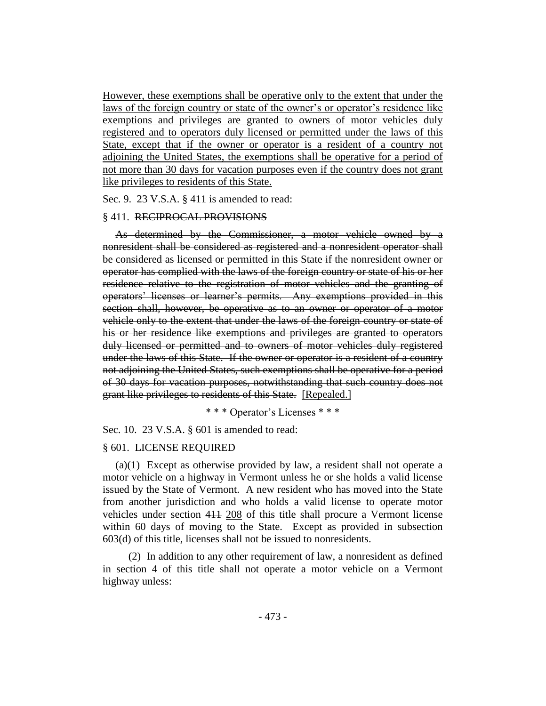However, these exemptions shall be operative only to the extent that under the laws of the foreign country or state of the owner's or operator's residence like exemptions and privileges are granted to owners of motor vehicles duly registered and to operators duly licensed or permitted under the laws of this State, except that if the owner or operator is a resident of a country not adjoining the United States, the exemptions shall be operative for a period of not more than 30 days for vacation purposes even if the country does not grant like privileges to residents of this State.

Sec. 9. 23 V.S.A. § 411 is amended to read:

#### § 411. RECIPROCAL PROVISIONS

As determined by the Commissioner, a motor vehicle owned by a nonresident shall be considered as registered and a nonresident operator shall be considered as licensed or permitted in this State if the nonresident owner or operator has complied with the laws of the foreign country or state of his or her residence relative to the registration of motor vehicles and the granting of operators' licenses or learner's permits. Any exemptions provided in this section shall, however, be operative as to an owner or operator of a motor vehicle only to the extent that under the laws of the foreign country or state of his or her residence like exemptions and privileges are granted to operators duly licensed or permitted and to owners of motor vehicles duly registered under the laws of this State. If the owner or operator is a resident of a country not adjoining the United States, such exemptions shall be operative for a period of 30 days for vacation purposes, notwithstanding that such country does not grant like privileges to residents of this State. [Repealed.]

## \* \* \* Operator's Licenses \* \* \*

Sec. 10. 23 V.S.A. § 601 is amended to read:

#### § 601. LICENSE REQUIRED

(a)(1) Except as otherwise provided by law, a resident shall not operate a motor vehicle on a highway in Vermont unless he or she holds a valid license issued by the State of Vermont. A new resident who has moved into the State from another jurisdiction and who holds a valid license to operate motor vehicles under section 411 208 of this title shall procure a Vermont license within 60 days of moving to the State. Except as provided in subsection 603(d) of this title, licenses shall not be issued to nonresidents.

(2) In addition to any other requirement of law, a nonresident as defined in section 4 of this title shall not operate a motor vehicle on a Vermont highway unless: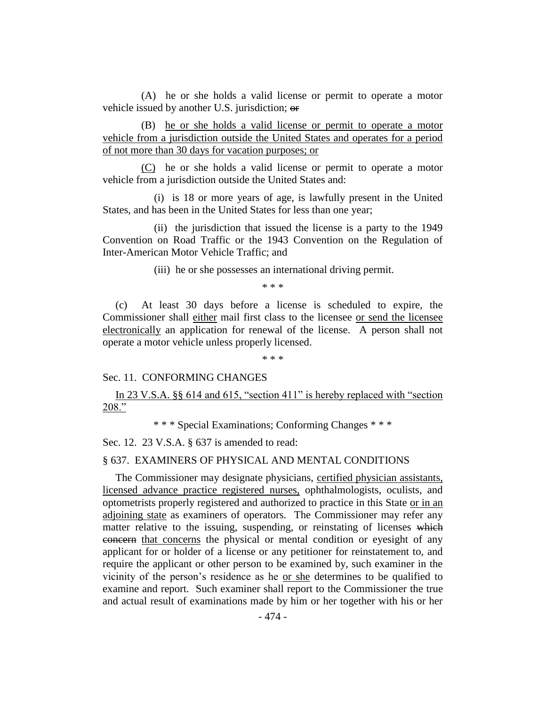(A) he or she holds a valid license or permit to operate a motor vehicle issued by another U.S. jurisdiction; or

(B) he or she holds a valid license or permit to operate a motor vehicle from a jurisdiction outside the United States and operates for a period of not more than 30 days for vacation purposes; or

(C) he or she holds a valid license or permit to operate a motor vehicle from a jurisdiction outside the United States and:

(i) is 18 or more years of age, is lawfully present in the United States, and has been in the United States for less than one year;

(ii) the jurisdiction that issued the license is a party to the 1949 Convention on Road Traffic or the 1943 Convention on the Regulation of Inter-American Motor Vehicle Traffic; and

(iii) he or she possesses an international driving permit.

\* \* \*

(c) At least 30 days before a license is scheduled to expire, the Commissioner shall either mail first class to the licensee or send the licensee electronically an application for renewal of the license. A person shall not operate a motor vehicle unless properly licensed.

\* \* \*

## Sec. 11. CONFORMING CHANGES

In 23 V.S.A. §§ 614 and 615, "section 411" is hereby replaced with "section 208."

\* \* \* Special Examinations; Conforming Changes \* \* \*

Sec. 12. 23 V.S.A. § 637 is amended to read:

#### § 637. EXAMINERS OF PHYSICAL AND MENTAL CONDITIONS

The Commissioner may designate physicians, certified physician assistants, licensed advance practice registered nurses, ophthalmologists, oculists, and optometrists properly registered and authorized to practice in this State or in an adjoining state as examiners of operators. The Commissioner may refer any matter relative to the issuing, suspending, or reinstating of licenses which concern that concerns the physical or mental condition or eyesight of any applicant for or holder of a license or any petitioner for reinstatement to, and require the applicant or other person to be examined by, such examiner in the vicinity of the person's residence as he or she determines to be qualified to examine and report. Such examiner shall report to the Commissioner the true and actual result of examinations made by him or her together with his or her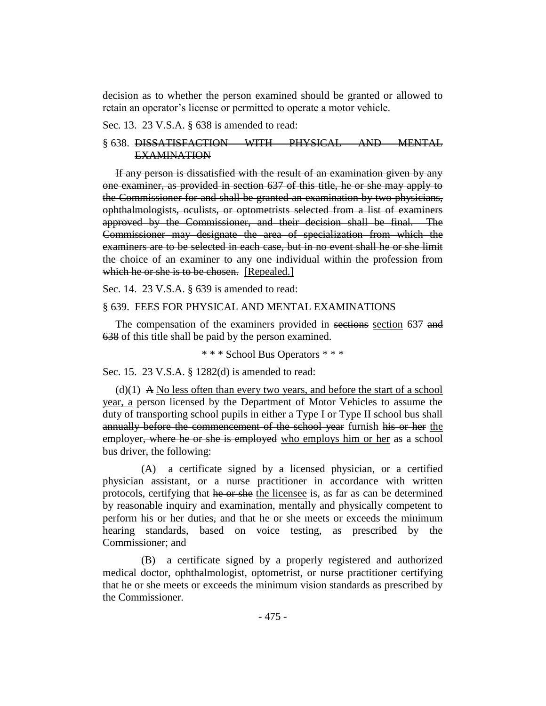decision as to whether the person examined should be granted or allowed to retain an operator's license or permitted to operate a motor vehicle.

#### Sec. 13. 23 V.S.A. § 638 is amended to read:

## § 638. DISSATISFACTION WITH PHYSICAL AND MENTAL EXAMINATION

If any person is dissatisfied with the result of an examination given by any one examiner, as provided in section 637 of this title, he or she may apply to the Commissioner for and shall be granted an examination by two physicians, ophthalmologists, oculists, or optometrists selected from a list of examiners approved by the Commissioner, and their decision shall be final. The Commissioner may designate the area of specialization from which the examiners are to be selected in each case, but in no event shall he or she limit the choice of an examiner to any one individual within the profession from which he or she is to be chosen. [Repealed.]

Sec. 14. 23 V.S.A. § 639 is amended to read:

#### § 639. FEES FOR PHYSICAL AND MENTAL EXAMINATIONS

The compensation of the examiners provided in sections section 637 and 638 of this title shall be paid by the person examined.

\* \* \* School Bus Operators \* \* \*

Sec. 15. 23 V.S.A. § 1282(d) is amended to read:

 $(d)(1)$  A No less often than every two years, and before the start of a school year, a person licensed by the Department of Motor Vehicles to assume the duty of transporting school pupils in either a Type I or Type II school bus shall annually before the commencement of the school year furnish his or her the employer, where he or she is employed who employs him or her as a school bus driver, the following:

 $(A)$  a certificate signed by a licensed physician,  $\Theta$  a certified physician assistant, or a nurse practitioner in accordance with written protocols, certifying that he or she the licensee is, as far as can be determined by reasonable inquiry and examination, mentally and physically competent to perform his or her duties, and that he or she meets or exceeds the minimum hearing standards, based on voice testing, as prescribed by the Commissioner; and

(B) a certificate signed by a properly registered and authorized medical doctor, ophthalmologist, optometrist, or nurse practitioner certifying that he or she meets or exceeds the minimum vision standards as prescribed by the Commissioner.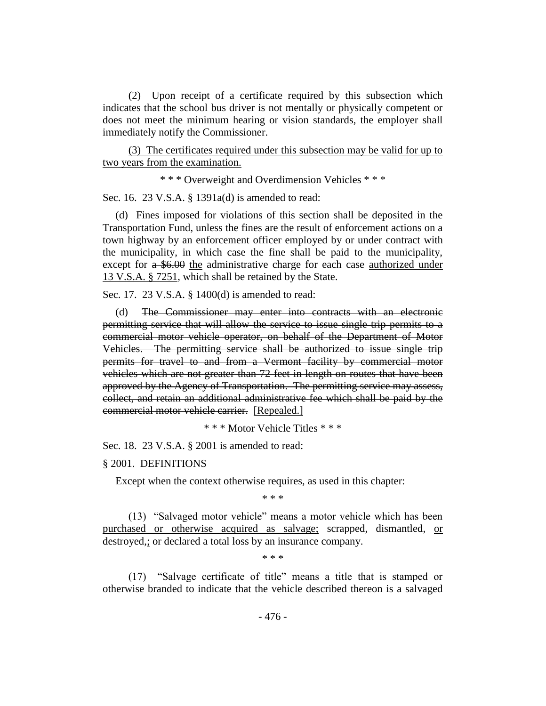(2) Upon receipt of a certificate required by this subsection which indicates that the school bus driver is not mentally or physically competent or does not meet the minimum hearing or vision standards, the employer shall immediately notify the Commissioner.

(3) The certificates required under this subsection may be valid for up to two years from the examination.

\* \* \* Overweight and Overdimension Vehicles \* \* \*

Sec. 16. 23 V.S.A. § 1391a(d) is amended to read:

(d) Fines imposed for violations of this section shall be deposited in the Transportation Fund, unless the fines are the result of enforcement actions on a town highway by an enforcement officer employed by or under contract with the municipality, in which case the fine shall be paid to the municipality, except for a \$6.00 the administrative charge for each case <u>authorized under</u> 13 V.S.A. § 7251, which shall be retained by the State.

Sec. 17. 23 V.S.A. § 1400(d) is amended to read:

(d) The Commissioner may enter into contracts with an electronic permitting service that will allow the service to issue single trip permits to a commercial motor vehicle operator, on behalf of the Department of Motor Vehicles. The permitting service shall be authorized to issue single trip permits for travel to and from a Vermont facility by commercial motor vehicles which are not greater than 72 feet in length on routes that have been approved by the Agency of Transportation. The permitting service may assess, collect, and retain an additional administrative fee which shall be paid by the commercial motor vehicle carrier. [Repealed.]

\* \* \* Motor Vehicle Titles \* \* \*

Sec. 18. 23 V.S.A. § 2001 is amended to read:

§ 2001. DEFINITIONS

Except when the context otherwise requires, as used in this chapter:

\* \* \*

(13) "Salvaged motor vehicle" means a motor vehicle which has been purchased or otherwise acquired as salvage; scrapped, dismantled, or destroyed,; or declared a total loss by an insurance company.

\* \* \*

(17) "Salvage certificate of title" means a title that is stamped or otherwise branded to indicate that the vehicle described thereon is a salvaged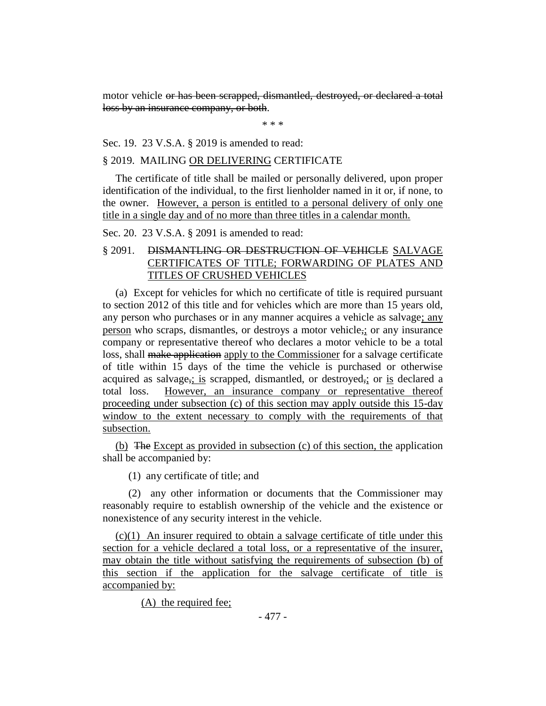motor vehicle or has been scrapped, dismantled, destroyed, or declared a total loss by an insurance company, or both.

\* \* \*

Sec. 19. 23 V.S.A. § 2019 is amended to read:

#### § 2019. MAILING OR DELIVERING CERTIFICATE

The certificate of title shall be mailed or personally delivered, upon proper identification of the individual, to the first lienholder named in it or, if none, to the owner. However, a person is entitled to a personal delivery of only one title in a single day and of no more than three titles in a calendar month.

Sec. 20. 23 V.S.A. § 2091 is amended to read:

## § 2091. DISMANTLING OR DESTRUCTION OF VEHICLE SALVAGE CERTIFICATES OF TITLE; FORWARDING OF PLATES AND TITLES OF CRUSHED VEHICLES

(a) Except for vehicles for which no certificate of title is required pursuant to section 2012 of this title and for vehicles which are more than 15 years old, any person who purchases or in any manner acquires a vehicle as salvage; any person who scraps, dismantles, or destroys a motor vehicle,; or any insurance company or representative thereof who declares a motor vehicle to be a total loss, shall make application apply to the Commissioner for a salvage certificate of title within 15 days of the time the vehicle is purchased or otherwise acquired as salvage<sub> $\tau$ </sub>; is scrapped, dismantled, or destroyed $\tau$ ; or is declared a total loss. However, an insurance company or representative thereof proceeding under subsection (c) of this section may apply outside this 15-day window to the extent necessary to comply with the requirements of that subsection.

(b) The Except as provided in subsection (c) of this section, the application shall be accompanied by:

(1) any certificate of title; and

(2) any other information or documents that the Commissioner may reasonably require to establish ownership of the vehicle and the existence or nonexistence of any security interest in the vehicle.

(c)(1) An insurer required to obtain a salvage certificate of title under this section for a vehicle declared a total loss, or a representative of the insurer, may obtain the title without satisfying the requirements of subsection (b) of this section if the application for the salvage certificate of title is accompanied by:

(A) the required fee;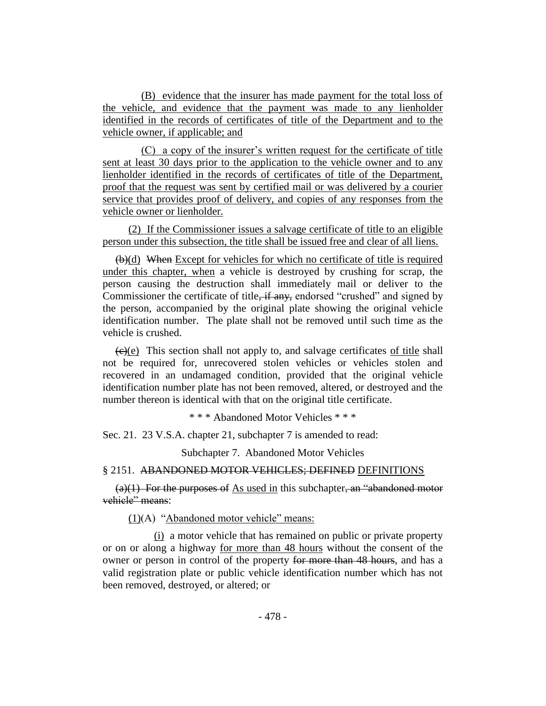(B) evidence that the insurer has made payment for the total loss of the vehicle, and evidence that the payment was made to any lienholder identified in the records of certificates of title of the Department and to the vehicle owner, if applicable; and

(C) a copy of the insurer's written request for the certificate of title sent at least 30 days prior to the application to the vehicle owner and to any lienholder identified in the records of certificates of title of the Department, proof that the request was sent by certified mail or was delivered by a courier service that provides proof of delivery, and copies of any responses from the vehicle owner or lienholder.

(2) If the Commissioner issues a salvage certificate of title to an eligible person under this subsection, the title shall be issued free and clear of all liens.

 $(b)(d)$  When Except for vehicles for which no certificate of title is required under this chapter, when a vehicle is destroyed by crushing for scrap, the person causing the destruction shall immediately mail or deliver to the Commissioner the certificate of title<del>, if any,</del> endorsed "crushed" and signed by the person, accompanied by the original plate showing the original vehicle identification number. The plate shall not be removed until such time as the vehicle is crushed.

 $\left(\frac{e}{e}\right)$  This section shall not apply to, and salvage certificates of title shall not be required for, unrecovered stolen vehicles or vehicles stolen and recovered in an undamaged condition, provided that the original vehicle identification number plate has not been removed, altered, or destroyed and the number thereon is identical with that on the original title certificate.

\* \* \* Abandoned Motor Vehicles \* \* \*

Sec. 21. 23 V.S.A. chapter 21, subchapter 7 is amended to read:

Subchapter 7. Abandoned Motor Vehicles

#### § 2151. ABANDONED MOTOR VEHICLES; DEFINED DEFINITIONS

 $(a)(1)$  For the purposes of As used in this subchapter, an "abandoned motor vehicle" means:

(1)(A) "Abandoned motor vehicle" means:

(i) a motor vehicle that has remained on public or private property or on or along a highway for more than 48 hours without the consent of the owner or person in control of the property for more than 48 hours, and has a valid registration plate or public vehicle identification number which has not been removed, destroyed, or altered; or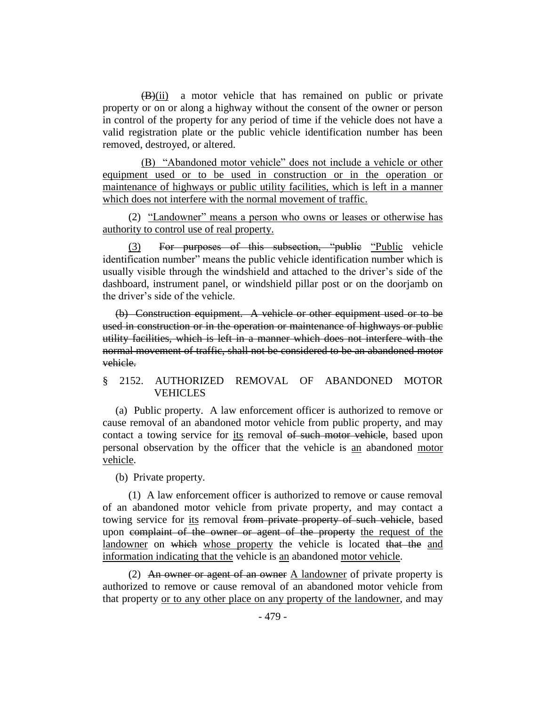$(B)(ii)$  a motor vehicle that has remained on public or private property or on or along a highway without the consent of the owner or person in control of the property for any period of time if the vehicle does not have a valid registration plate or the public vehicle identification number has been removed, destroyed, or altered.

(B) "Abandoned motor vehicle" does not include a vehicle or other equipment used or to be used in construction or in the operation or maintenance of highways or public utility facilities, which is left in a manner which does not interfere with the normal movement of traffic.

(2) "Landowner" means a person who owns or leases or otherwise has authority to control use of real property.

(3) For purposes of this subsection, "public "Public vehicle identification number" means the public vehicle identification number which is usually visible through the windshield and attached to the driver's side of the dashboard, instrument panel, or windshield pillar post or on the doorjamb on the driver's side of the vehicle.

(b) Construction equipment. A vehicle or other equipment used or to be used in construction or in the operation or maintenance of highways or public utility facilities, which is left in a manner which does not interfere with the normal movement of traffic, shall not be considered to be an abandoned motor vehicle.

## § 2152. AUTHORIZED REMOVAL OF ABANDONED MOTOR VEHICLES

(a) Public property. A law enforcement officer is authorized to remove or cause removal of an abandoned motor vehicle from public property, and may contact a towing service for its removal of such motor vehicle, based upon personal observation by the officer that the vehicle is an abandoned motor vehicle.

(b) Private property.

(1) A law enforcement officer is authorized to remove or cause removal of an abandoned motor vehicle from private property, and may contact a towing service for its removal from private property of such vehicle, based upon complaint of the owner or agent of the property the request of the landowner on which whose property the vehicle is located that the and information indicating that the vehicle is an abandoned motor vehicle.

(2) An owner or agent of an owner A landowner of private property is authorized to remove or cause removal of an abandoned motor vehicle from that property or to any other place on any property of the landowner, and may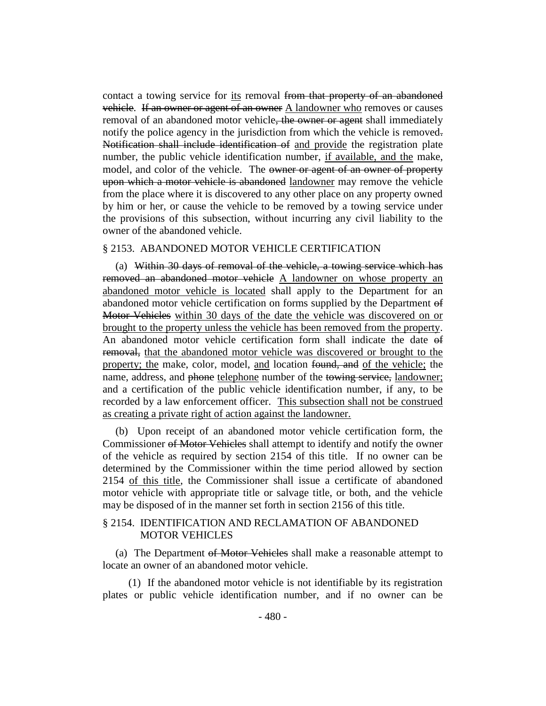contact a towing service for its removal from that property of an abandoned vehicle. If an owner or agent of an owner A landowner who removes or causes removal of an abandoned motor vehicle<del>, the owner or agent</del> shall immediately notify the police agency in the jurisdiction from which the vehicle is removed. Notification shall include identification of and provide the registration plate number, the public vehicle identification number, if available, and the make, model, and color of the vehicle. The owner or agent of an owner of property upon which a motor vehicle is abandoned landowner may remove the vehicle from the place where it is discovered to any other place on any property owned by him or her, or cause the vehicle to be removed by a towing service under the provisions of this subsection, without incurring any civil liability to the owner of the abandoned vehicle.

#### § 2153. ABANDONED MOTOR VEHICLE CERTIFICATION

(a) Within 30 days of removal of the vehicle, a towing service which has removed an abandoned motor vehicle A landowner on whose property an abandoned motor vehicle is located shall apply to the Department for an abandoned motor vehicle certification on forms supplied by the Department of Motor Vehicles within 30 days of the date the vehicle was discovered on or brought to the property unless the vehicle has been removed from the property. An abandoned motor vehicle certification form shall indicate the date of removal, that the abandoned motor vehicle was discovered or brought to the property; the make, color, model, and location found, and of the vehicle; the name, address, and phone telephone number of the towing service, landowner; and a certification of the public vehicle identification number, if any, to be recorded by a law enforcement officer. This subsection shall not be construed as creating a private right of action against the landowner.

(b) Upon receipt of an abandoned motor vehicle certification form, the Commissioner of Motor Vehicles shall attempt to identify and notify the owner of the vehicle as required by section 2154 of this title. If no owner can be determined by the Commissioner within the time period allowed by section 2154 of this title, the Commissioner shall issue a certificate of abandoned motor vehicle with appropriate title or salvage title, or both, and the vehicle may be disposed of in the manner set forth in section 2156 of this title.

## § 2154. IDENTIFICATION AND RECLAMATION OF ABANDONED MOTOR VEHICLES

(a) The Department of Motor Vehicles shall make a reasonable attempt to locate an owner of an abandoned motor vehicle.

(1) If the abandoned motor vehicle is not identifiable by its registration plates or public vehicle identification number, and if no owner can be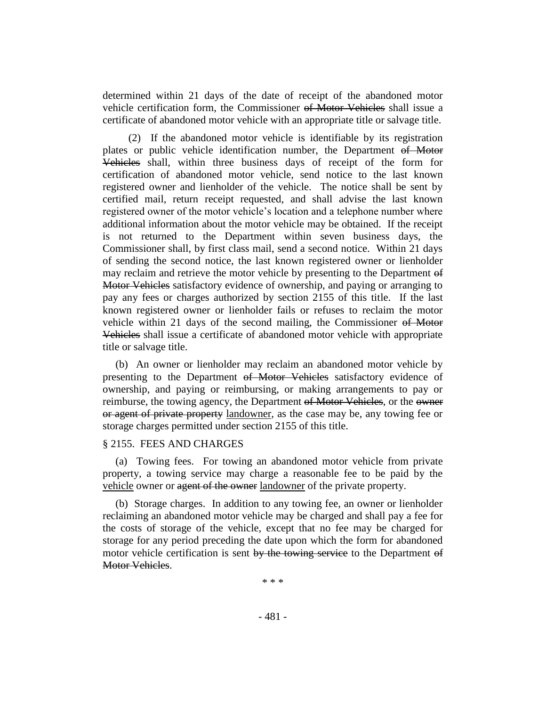determined within 21 days of the date of receipt of the abandoned motor vehicle certification form, the Commissioner of Motor Vehicles shall issue a certificate of abandoned motor vehicle with an appropriate title or salvage title.

(2) If the abandoned motor vehicle is identifiable by its registration plates or public vehicle identification number, the Department of Motor Vehicles shall, within three business days of receipt of the form for certification of abandoned motor vehicle, send notice to the last known registered owner and lienholder of the vehicle. The notice shall be sent by certified mail, return receipt requested, and shall advise the last known registered owner of the motor vehicle's location and a telephone number where additional information about the motor vehicle may be obtained. If the receipt is not returned to the Department within seven business days, the Commissioner shall, by first class mail, send a second notice. Within 21 days of sending the second notice, the last known registered owner or lienholder may reclaim and retrieve the motor vehicle by presenting to the Department of Motor Vehicles satisfactory evidence of ownership, and paying or arranging to pay any fees or charges authorized by section 2155 of this title. If the last known registered owner or lienholder fails or refuses to reclaim the motor vehicle within 21 days of the second mailing, the Commissioner of Motor Vehicles shall issue a certificate of abandoned motor vehicle with appropriate title or salvage title.

(b) An owner or lienholder may reclaim an abandoned motor vehicle by presenting to the Department of Motor Vehicles satisfactory evidence of ownership, and paying or reimbursing, or making arrangements to pay or reimburse, the towing agency, the Department of Motor Vehicles, or the owner or agent of private property landowner, as the case may be, any towing fee or storage charges permitted under section 2155 of this title.

## § 2155. FEES AND CHARGES

(a) Towing fees. For towing an abandoned motor vehicle from private property, a towing service may charge a reasonable fee to be paid by the vehicle owner or agent of the owner landowner of the private property.

(b) Storage charges. In addition to any towing fee, an owner or lienholder reclaiming an abandoned motor vehicle may be charged and shall pay a fee for the costs of storage of the vehicle, except that no fee may be charged for storage for any period preceding the date upon which the form for abandoned motor vehicle certification is sent by the towing service to the Department of Motor Vehicles.

\* \* \*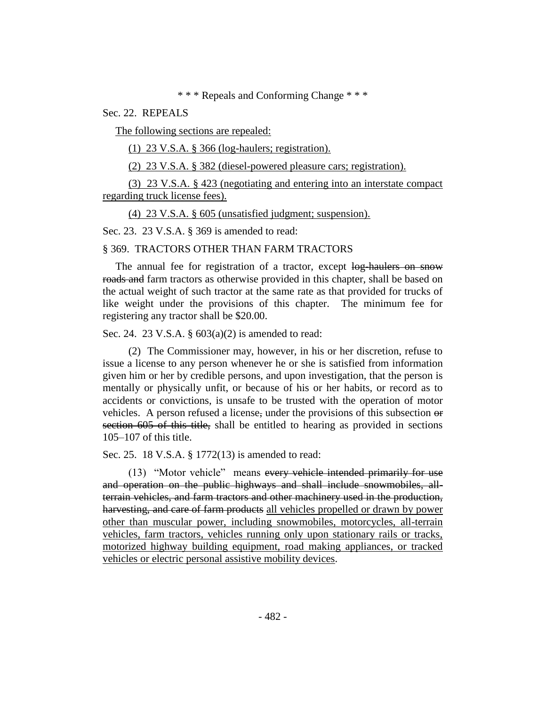\* \* \* Repeals and Conforming Change \* \* \*

Sec. 22. REPEALS

The following sections are repealed:

(1) 23 V.S.A. § 366 (log-haulers; registration).

(2) 23 V.S.A. § 382 (diesel-powered pleasure cars; registration).

(3) 23 V.S.A. § 423 (negotiating and entering into an interstate compact regarding truck license fees).

(4) 23 V.S.A. § 605 (unsatisfied judgment; suspension).

Sec. 23. 23 V.S.A. § 369 is amended to read:

#### § 369. TRACTORS OTHER THAN FARM TRACTORS

The annual fee for registration of a tractor, except log-haulers on snow roads and farm tractors as otherwise provided in this chapter, shall be based on the actual weight of such tractor at the same rate as that provided for trucks of like weight under the provisions of this chapter. The minimum fee for registering any tractor shall be \$20.00.

Sec. 24. 23 V.S.A. § 603(a)(2) is amended to read:

(2) The Commissioner may, however, in his or her discretion, refuse to issue a license to any person whenever he or she is satisfied from information given him or her by credible persons, and upon investigation, that the person is mentally or physically unfit, or because of his or her habits, or record as to accidents or convictions, is unsafe to be trusted with the operation of motor vehicles. A person refused a license, under the provisions of this subsection or section 605 of this title, shall be entitled to hearing as provided in sections 105–107 of this title.

Sec. 25. 18 V.S.A. § 1772(13) is amended to read:

(13) "Motor vehicle" means every vehicle intended primarily for use and operation on the public highways and shall include snowmobiles, allterrain vehicles, and farm tractors and other machinery used in the production, harvesting, and care of farm products all vehicles propelled or drawn by power other than muscular power, including snowmobiles, motorcycles, all-terrain vehicles, farm tractors, vehicles running only upon stationary rails or tracks, motorized highway building equipment, road making appliances, or tracked vehicles or electric personal assistive mobility devices.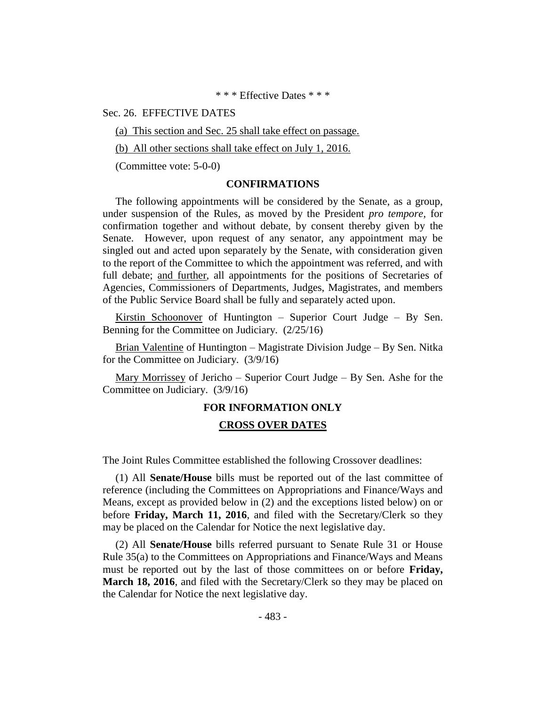\* \* \* Effective Dates \* \* \*

#### Sec. 26. EFFECTIVE DATES

(a) This section and Sec. 25 shall take effect on passage.

(b) All other sections shall take effect on July 1, 2016.

(Committee vote: 5-0-0)

#### **CONFIRMATIONS**

The following appointments will be considered by the Senate, as a group, under suspension of the Rules, as moved by the President *pro tempore,* for confirmation together and without debate, by consent thereby given by the Senate. However, upon request of any senator, any appointment may be singled out and acted upon separately by the Senate, with consideration given to the report of the Committee to which the appointment was referred, and with full debate; and further, all appointments for the positions of Secretaries of Agencies, Commissioners of Departments, Judges, Magistrates, and members of the Public Service Board shall be fully and separately acted upon.

Kirstin Schoonover of Huntington – Superior Court Judge – By Sen. Benning for the Committee on Judiciary. (2/25/16)

Brian Valentine of Huntington – Magistrate Division Judge – By Sen. Nitka for the Committee on Judiciary. (3/9/16)

Mary Morrissey of Jericho – Superior Court Judge – By Sen. Ashe for the Committee on Judiciary. (3/9/16)

#### **FOR INFORMATION ONLY**

#### **CROSS OVER DATES**

The Joint Rules Committee established the following Crossover deadlines:

(1) All **Senate/House** bills must be reported out of the last committee of reference (including the Committees on Appropriations and Finance/Ways and Means, except as provided below in (2) and the exceptions listed below) on or before **Friday, March 11, 2016**, and filed with the Secretary/Clerk so they may be placed on the Calendar for Notice the next legislative day.

(2) All **Senate/House** bills referred pursuant to Senate Rule 31 or House Rule 35(a) to the Committees on Appropriations and Finance/Ways and Means must be reported out by the last of those committees on or before **Friday, March 18, 2016**, and filed with the Secretary/Clerk so they may be placed on the Calendar for Notice the next legislative day.